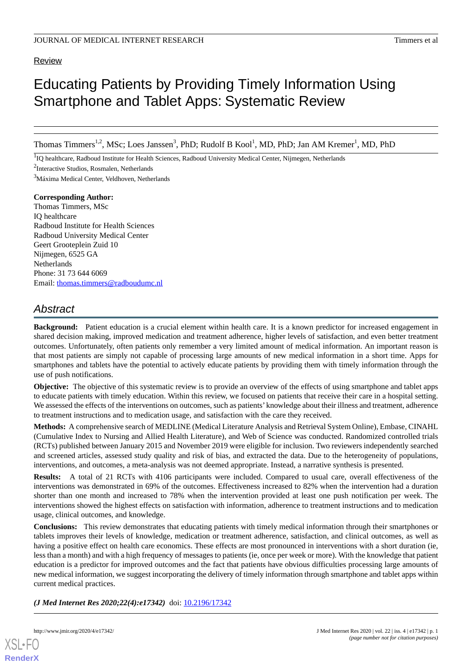## Review

# Educating Patients by Providing Timely Information Using Smartphone and Tablet Apps: Systematic Review

Thomas Timmers<sup>1,2</sup>, MSc; Loes Janssen<sup>3</sup>, PhD; Rudolf B Kool<sup>1</sup>, MD, PhD; Jan AM Kremer<sup>1</sup>, MD, PhD

<sup>1</sup>IQ healthcare, Radboud Institute for Health Sciences, Radboud University Medical Center, Nijmegen, Netherlands

<sup>2</sup>Interactive Studios, Rosmalen, Netherlands

<sup>3</sup>Máxima Medical Center, Veldhoven, Netherlands

## **Corresponding Author:**

Thomas Timmers, MSc IQ healthcare Radboud Institute for Health Sciences Radboud University Medical Center Geert Grooteplein Zuid 10 Nijmegen, 6525 GA Netherlands Phone: 31 73 644 6069 Email: [thomas.timmers@radboudumc.nl](mailto:thomas.timmers@radboudumc.nl)

## *Abstract*

**Background:** Patient education is a crucial element within health care. It is a known predictor for increased engagement in shared decision making, improved medication and treatment adherence, higher levels of satisfaction, and even better treatment outcomes. Unfortunately, often patients only remember a very limited amount of medical information. An important reason is that most patients are simply not capable of processing large amounts of new medical information in a short time. Apps for smartphones and tablets have the potential to actively educate patients by providing them with timely information through the use of push notifications.

**Objective:** The objective of this systematic review is to provide an overview of the effects of using smartphone and tablet apps to educate patients with timely education. Within this review, we focused on patients that receive their care in a hospital setting. We assessed the effects of the interventions on outcomes, such as patients' knowledge about their illness and treatment, adherence to treatment instructions and to medication usage, and satisfaction with the care they received.

**Methods:** A comprehensive search of MEDLINE (Medical Literature Analysis and Retrieval System Online), Embase, CINAHL (Cumulative Index to Nursing and Allied Health Literature), and Web of Science was conducted. Randomized controlled trials (RCTs) published between January 2015 and November 2019 were eligible for inclusion. Two reviewers independently searched and screened articles, assessed study quality and risk of bias, and extracted the data. Due to the heterogeneity of populations, interventions, and outcomes, a meta-analysis was not deemed appropriate. Instead, a narrative synthesis is presented.

**Results:** A total of 21 RCTs with 4106 participants were included. Compared to usual care, overall effectiveness of the interventions was demonstrated in 69% of the outcomes. Effectiveness increased to 82% when the intervention had a duration shorter than one month and increased to 78% when the intervention provided at least one push notification per week. The interventions showed the highest effects on satisfaction with information, adherence to treatment instructions and to medication usage, clinical outcomes, and knowledge.

**Conclusions:** This review demonstrates that educating patients with timely medical information through their smartphones or tablets improves their levels of knowledge, medication or treatment adherence, satisfaction, and clinical outcomes, as well as having a positive effect on health care economics. These effects are most pronounced in interventions with a short duration (ie, less than a month) and with a high frequency of messages to patients (ie, once per week or more). With the knowledge that patient education is a predictor for improved outcomes and the fact that patients have obvious difficulties processing large amounts of new medical information, we suggest incorporating the delivery of timely information through smartphone and tablet apps within current medical practices.

*(J Med Internet Res 2020;22(4):e17342)* doi: [10.2196/17342](http://dx.doi.org/10.2196/17342)

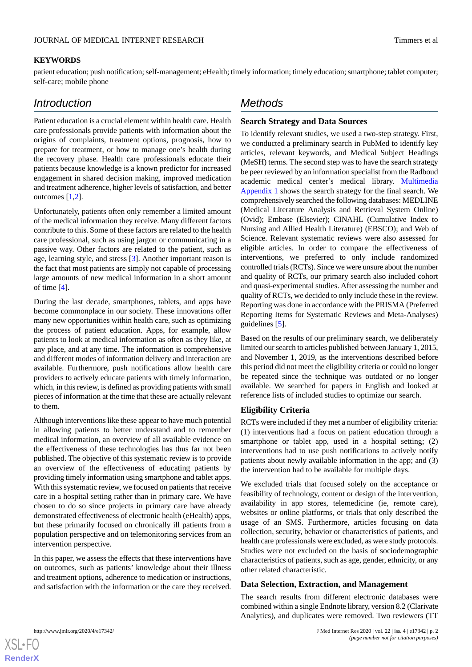## **KEYWORDS**

patient education; push notification; self-management; eHealth; timely information; timely education; smartphone; tablet computer; self-care; mobile phone

## *Introduction*

Patient education is a crucial element within health care. Health care professionals provide patients with information about the origins of complaints, treatment options, prognosis, how to prepare for treatment, or how to manage one's health during the recovery phase. Health care professionals educate their patients because knowledge is a known predictor for increased engagement in shared decision making, improved medication and treatment adherence, higher levels of satisfaction, and better outcomes [[1,](#page-17-0)[2](#page-17-1)].

Unfortunately, patients often only remember a limited amount of the medical information they receive. Many different factors contribute to this. Some of these factors are related to the health care professional, such as using jargon or communicating in a passive way. Other factors are related to the patient, such as age, learning style, and stress [\[3](#page-17-2)]. Another important reason is the fact that most patients are simply not capable of processing large amounts of new medical information in a short amount of time [[4\]](#page-17-3).

During the last decade, smartphones, tablets, and apps have become commonplace in our society. These innovations offer many new opportunities within health care, such as optimizing the process of patient education. Apps, for example, allow patients to look at medical information as often as they like, at any place, and at any time. The information is comprehensive and different modes of information delivery and interaction are available. Furthermore, push notifications allow health care providers to actively educate patients with timely information, which, in this review, is defined as providing patients with small pieces of information at the time that these are actually relevant to them.

Although interventions like these appear to have much potential in allowing patients to better understand and to remember medical information, an overview of all available evidence on the effectiveness of these technologies has thus far not been published. The objective of this systematic review is to provide an overview of the effectiveness of educating patients by providing timely information using smartphone and tablet apps. With this systematic review, we focused on patients that receive care in a hospital setting rather than in primary care. We have chosen to do so since projects in primary care have already demonstrated effectiveness of electronic health (eHealth) apps, but these primarily focused on chronically ill patients from a population perspective and on telemonitoring services from an intervention perspective.

In this paper, we assess the effects that these interventions have on outcomes, such as patients' knowledge about their illness and treatment options, adherence to medication or instructions, and satisfaction with the information or the care they received.

## *Methods*

## **Search Strategy and Data Sources**

To identify relevant studies, we used a two-step strategy. First, we conducted a preliminary search in PubMed to identify key articles, relevant keywords, and Medical Subject Headings (MeSH) terms. The second step was to have the search strategy be peer reviewed by an information specialist from the Radboud academic medical center's medical library. [Multimedia](#page-17-4) [Appendix 1](#page-17-4) shows the search strategy for the final search. We comprehensively searched the following databases: MEDLINE (Medical Literature Analysis and Retrieval System Online) (Ovid); Embase (Elsevier); CINAHL (Cumulative Index to Nursing and Allied Health Literature) (EBSCO); and Web of Science. Relevant systematic reviews were also assessed for eligible articles. In order to compare the effectiveness of interventions, we preferred to only include randomized controlled trials (RCTs). Since we were unsure about the number and quality of RCTs, our primary search also included cohort and quasi-experimental studies. After assessing the number and quality of RCTs, we decided to only include these in the review. Reporting was done in accordance with the PRISMA (Preferred Reporting Items for Systematic Reviews and Meta-Analyses) guidelines [[5\]](#page-18-0).

Based on the results of our preliminary search, we deliberately limited our search to articles published between January 1, 2015, and November 1, 2019, as the interventions described before this period did not meet the eligibility criteria or could no longer be repeated since the technique was outdated or no longer available. We searched for papers in English and looked at reference lists of included studies to optimize our search.

## **Eligibility Criteria**

RCTs were included if they met a number of eligibility criteria: (1) interventions had a focus on patient education through a smartphone or tablet app, used in a hospital setting; (2) interventions had to use push notifications to actively notify patients about newly available information in the app; and (3) the intervention had to be available for multiple days.

We excluded trials that focused solely on the acceptance or feasibility of technology, content or design of the intervention, availability in app stores, telemedicine (ie, remote care), websites or online platforms, or trials that only described the usage of an SMS. Furthermore, articles focusing on data collection, security, behavior or characteristics of patients, and health care professionals were excluded, as were study protocols. Studies were not excluded on the basis of sociodemographic characteristics of patients, such as age, gender, ethnicity, or any other related characteristic.

## **Data Selection, Extraction, and Management**

The search results from different electronic databases were combined within a single Endnote library, version 8.2 (Clarivate Analytics), and duplicates were removed. Two reviewers (TT



 $XS$  $\cdot$ FC **[RenderX](http://www.renderx.com/)**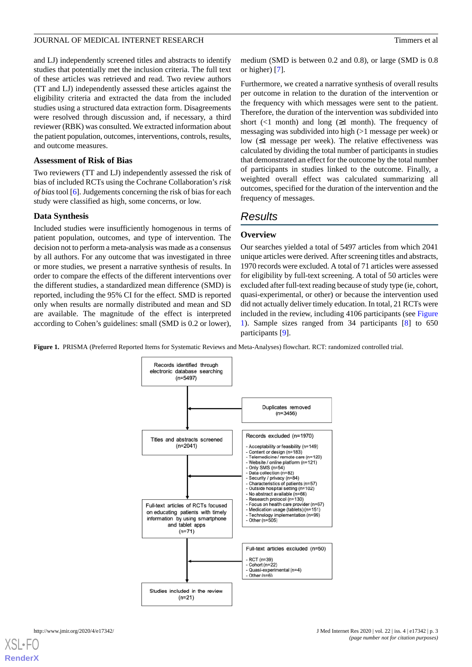and LJ) independently screened titles and abstracts to identify studies that potentially met the inclusion criteria. The full text of these articles was retrieved and read. Two review authors (TT and LJ) independently assessed these articles against the eligibility criteria and extracted the data from the included studies using a structured data extraction form. Disagreements were resolved through discussion and, if necessary, a third reviewer (RBK) was consulted. We extracted information about the patient population, outcomes, interventions, controls, results, and outcome measures.

## **Assessment of Risk of Bias**

Two reviewers (TT and LJ) independently assessed the risk of bias of included RCTs using the Cochrane Collaboration's *risk of bias* tool [[6\]](#page-18-1). Judgements concerning the risk of bias for each study were classified as high, some concerns, or low.

## **Data Synthesis**

Included studies were insufficiently homogenous in terms of patient population, outcomes, and type of intervention. The decision not to perform a meta-analysis was made as a consensus by all authors. For any outcome that was investigated in three or more studies, we present a narrative synthesis of results. In order to compare the effects of the different interventions over the different studies, a standardized mean difference (SMD) is reported, including the 95% CI for the effect. SMD is reported only when results are normally distributed and mean and SD are available. The magnitude of the effect is interpreted according to Cohen's guidelines: small (SMD is 0.2 or lower),

medium (SMD is between 0.2 and 0.8), or large (SMD is 0.8 or higher) [\[7](#page-18-2)].

Furthermore, we created a narrative synthesis of overall results per outcome in relation to the duration of the intervention or the frequency with which messages were sent to the patient. Therefore, the duration of the intervention was subdivided into short (<1 month) and long ( $\geq$ 1 month). The frequency of messaging was subdivided into high (>1 message per week) or low (≤1 message per week). The relative effectiveness was calculated by dividing the total number of participants in studies that demonstrated an effect for the outcome by the total number of participants in studies linked to the outcome. Finally, a weighted overall effect was calculated summarizing all outcomes, specified for the duration of the intervention and the frequency of messages.

## *Results*

## **Overview**

Our searches yielded a total of 5497 articles from which 2041 unique articles were derived. After screening titles and abstracts, 1970 records were excluded. A total of 71 articles were assessed for eligibility by full-text screening. A total of 50 articles were excluded after full-text reading because of study type (ie, cohort, quasi-experimental, or other) or because the intervention used did not actually deliver timely education. In total, 21 RCTs were included in the review, including 4106 participants (see [Figure](#page-2-0) [1\)](#page-2-0). Sample sizes ranged from 34 participants [\[8](#page-18-3)] to 650 participants [\[9](#page-18-4)].

<span id="page-2-0"></span>**Figure 1.** PRISMA (Preferred Reported Items for Systematic Reviews and Meta-Analyses) flowchart. RCT: randomized controlled trial.

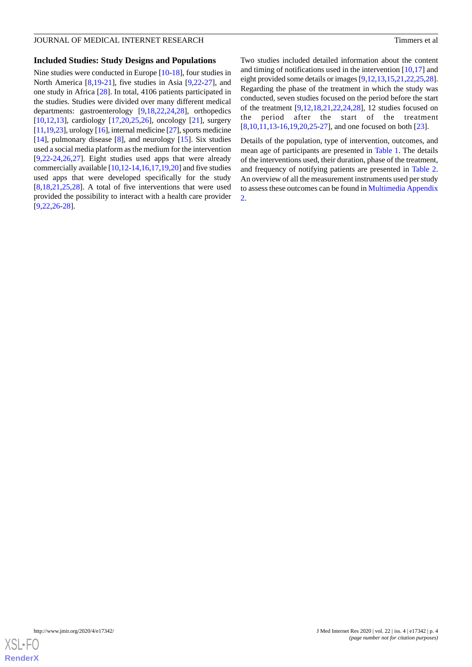#### **Included Studies: Study Designs and Populations**

Nine studies were conducted in Europe [[10-](#page-18-5)[18\]](#page-18-6), four studies in North America [[8,](#page-18-3)[19](#page-18-7)-[21\]](#page-18-8), five studies in Asia [\[9](#page-18-4)[,22](#page-18-9)-[27\]](#page-19-0), and one study in Africa [[28\]](#page-19-1). In total, 4106 patients participated in the studies. Studies were divided over many different medical departments: gastroenterology [[9,](#page-18-4)[18](#page-18-6),[22,](#page-18-9)[24](#page-18-10),[28\]](#page-19-1), orthopedics [[10](#page-18-5)[,12](#page-18-11),[13\]](#page-18-12), cardiology [\[17](#page-18-13)[,20](#page-18-14),[25,](#page-19-2)[26](#page-19-3)], oncology [\[21](#page-18-8)], surgery [[11,](#page-18-15)[19](#page-18-7)[,23\]](#page-18-16), urology [\[16\]](#page-18-17), internal medicine [\[27\]](#page-19-0), sports medicine [[14\]](#page-18-18), pulmonary disease [[8\]](#page-18-3), and neurology [[15\]](#page-18-19). Six studies used a social media platform as the medium for the intervention [[9](#page-18-4)[,22](#page-18-9)-[24,](#page-18-10)[26](#page-19-3),[27\]](#page-19-0). Eight studies used apps that were already commercially available [\[10](#page-18-5)[,12](#page-18-11)-[14,](#page-18-18)[16](#page-18-17),[17,](#page-18-13)[19](#page-18-7),[20\]](#page-18-14) and five studies used apps that were developed specifically for the study [[8](#page-18-3)[,18](#page-18-6),[21](#page-18-8)[,25](#page-19-2),[28\]](#page-19-1). A total of five interventions that were used provided the possibility to interact with a health care provider [[9](#page-18-4)[,22](#page-18-9),[26](#page-19-3)[-28](#page-19-1)].

Two studies included detailed information about the content and timing of notifications used in the intervention [\[10](#page-18-5),[17\]](#page-18-13) and eight provided some details or images [[9](#page-18-4)[,12](#page-18-11),[13](#page-18-12),[15,](#page-18-19)[21](#page-18-8)[,22](#page-18-9),[25,](#page-19-2)[28](#page-19-1)]. Regarding the phase of the treatment in which the study was conducted, seven studies focused on the period before the start of the treatment [\[9](#page-18-4)[,12](#page-18-11)[,18](#page-18-6),[21,](#page-18-8)[22](#page-18-9)[,24](#page-18-10)[,28](#page-19-1)], 12 studies focused on the period after the start of the treatment [[8](#page-18-3)[,10](#page-18-5),[11,](#page-18-15)[13-](#page-18-12)[16](#page-18-17)[,19](#page-18-7),[20](#page-18-14)[,25](#page-19-2)-[27\]](#page-19-0), and one focused on both [[23\]](#page-18-16).

Details of the population, type of intervention, outcomes, and mean age of participants are presented in [Table 1.](#page-4-0) The details of the interventions used, their duration, phase of the treatment, and frequency of notifying patients are presented in [Table 2](#page-5-0). An overview of all the measurement instruments used per study to assess these outcomes can be found in [Multimedia Appendix](#page-17-5) [2.](#page-17-5)

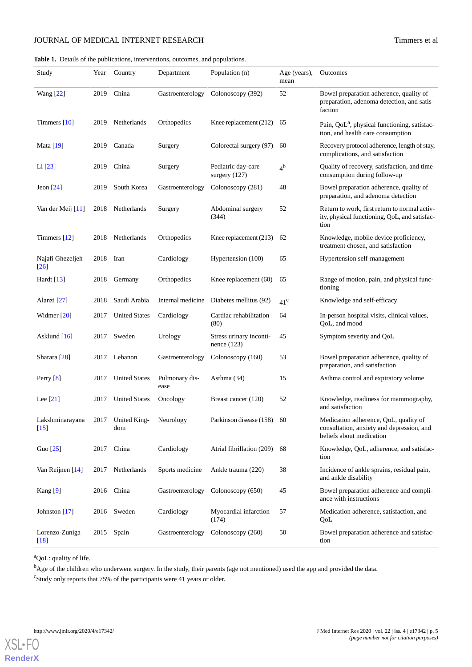## **JOURNAL OF MEDICAL INTERNET RESEARCH** Timmers et al

<span id="page-4-0"></span>**Table 1.** Details of the publications, interventions, outcomes, and populations.

| Study                                  | Year | Country                  | Department             | Population (n)                           | Age (years),<br>mean | Outcomes                                                                                                       |
|----------------------------------------|------|--------------------------|------------------------|------------------------------------------|----------------------|----------------------------------------------------------------------------------------------------------------|
| <b>Wang</b> [22]                       | 2019 | China                    | Gastroenterology       | Colonoscopy (392)                        | 52                   | Bowel preparation adherence, quality of<br>preparation, adenoma detection, and satis-<br>faction               |
| Timmers [10]                           | 2019 | Netherlands              | Orthopedics            | Knee replacement (212)                   | 65                   | Pain, QoL <sup>a</sup> , physical functioning, satisfac-<br>tion, and health care consumption                  |
| Mata [19]                              | 2019 | Canada                   | Surgery                | Colorectal surgery (97)                  | 60                   | Recovery protocol adherence, length of stay,<br>complications, and satisfaction                                |
| Li [23]                                | 2019 | China                    | Surgery                | Pediatric day-care<br>surgery $(127)$    | 4 <sup>b</sup>       | Quality of recovery, satisfaction, and time<br>consumption during follow-up                                    |
| Jeon $[24]$                            | 2019 | South Korea              | Gastroenterology       | Colonoscopy (281)                        | 48                   | Bowel preparation adherence, quality of<br>preparation, and adenoma detection                                  |
| Van der Meij [11]                      | 2018 | Netherlands              | Surgery                | Abdominal surgery<br>(344)               | 52                   | Return to work, first return to normal activ-<br>ity, physical functioning, QoL, and satisfac-<br>tion         |
| Timmers $[12]$                         | 2018 | Netherlands              | Orthopedics            | Knee replacement (213)                   | 62                   | Knowledge, mobile device proficiency,<br>treatment chosen, and satisfaction                                    |
| Najafi Ghezeljeh<br>$\lceil 26 \rceil$ | 2018 | Iran                     | Cardiology             | Hypertension (100)                       | 65                   | Hypertension self-management                                                                                   |
| Hardt [13]                             | 2018 | Germany                  | Orthopedics            | Knee replacement (60)                    | 65                   | Range of motion, pain, and physical func-<br>tioning                                                           |
| Alanzi [27]                            | 2018 | Saudi Arabia             | Internal medicine      | Diabetes mellitus (92)                   | $41^{\circ}$         | Knowledge and self-efficacy                                                                                    |
| Widmer $[20]$                          | 2017 | <b>United States</b>     | Cardiology             | Cardiac rehabilitation<br>(80)           | 64                   | In-person hospital visits, clinical values,<br>QoL, and mood                                                   |
| Asklund $[16]$                         | 2017 | Sweden                   | Urology                | Stress urinary inconti-<br>nence $(123)$ | 45                   | Symptom severity and QoL                                                                                       |
| Sharara <sup>[28]</sup>                | 2017 | Lebanon                  | Gastroenterology       | Colonoscopy (160)                        | 53                   | Bowel preparation adherence, quality of<br>preparation, and satisfaction                                       |
| Perry $[8]$                            | 2017 | <b>United States</b>     | Pulmonary dis-<br>ease | Asthma (34)                              | 15                   | Asthma control and expiratory volume                                                                           |
| Lee $[21]$                             | 2017 | <b>United States</b>     | Oncology               | Breast cancer (120)                      | 52                   | Knowledge, readiness for mammography,<br>and satisfaction                                                      |
| Lakshminarayana<br>[15]                |      | 2017 United King-<br>dom | Neurology              | Parkinson disease (158)                  | 60                   | Medication adherence, QoL, quality of<br>consultation, anxiety and depression, and<br>beliefs about medication |
| Guo $[25]$                             | 2017 | China                    | Cardiology             | Atrial fibrillation (209)                | 68                   | Knowledge, QoL, adherence, and satisfac-<br>tion                                                               |
| Van Reijnen [14]                       | 2017 | Netherlands              | Sports medicine        | Ankle trauma (220)                       | 38                   | Incidence of ankle sprains, residual pain,<br>and ankle disability                                             |
| Kang $[9]$                             | 2016 | China                    | Gastroenterology       | Colonoscopy (650)                        | 45                   | Bowel preparation adherence and compli-<br>ance with instructions                                              |
| Johnston [17]                          | 2016 | Sweden                   | Cardiology             | Myocardial infarction<br>(174)           | 57                   | Medication adherence, satisfaction, and<br>QoL                                                                 |
| Lorenzo-Zuniga<br>$[18]$               | 2015 | Spain                    | Gastroenterology       | Colonoscopy (260)                        | 50                   | Bowel preparation adherence and satisfac-<br>tion                                                              |

<sup>a</sup>QoL: quality of life.

<sup>b</sup>Age of the children who underwent surgery. In the study, their parents (age not mentioned) used the app and provided the data.

<sup>c</sup>Study only reports that 75% of the participants were 41 years or older.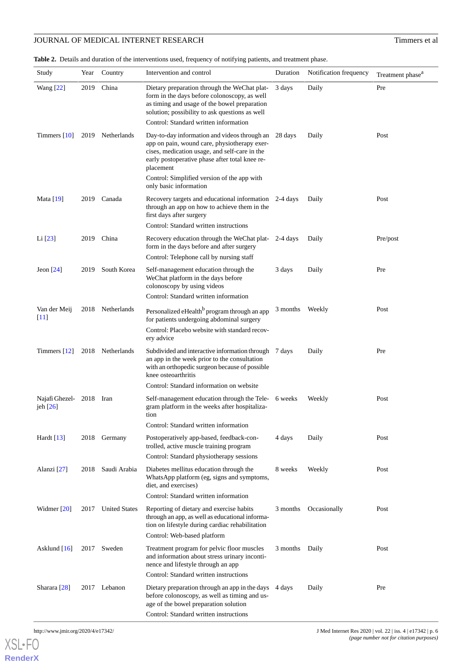## **JOURNAL OF MEDICAL INTERNET RESEARCH** Timmers et al

<span id="page-5-0"></span>**Table 2.** Details and duration of the interventions used, frequency of notifying patients, and treatment phase.

| Study                        | Year      | Country              | Intervention and control                                                                                                                                                                                                                | Duration | Notification frequency | Treatment phase <sup>a</sup> |
|------------------------------|-----------|----------------------|-----------------------------------------------------------------------------------------------------------------------------------------------------------------------------------------------------------------------------------------|----------|------------------------|------------------------------|
| <b>Wang</b> [22]             | 2019      | China                | Dietary preparation through the WeChat plat-<br>form in the days before colonoscopy, as well<br>as timing and usage of the bowel preparation<br>solution; possibility to ask questions as well<br>Control: Standard written information | 3 days   | Daily                  | Pre                          |
| Timmers $[10]$               | 2019      | Netherlands          | Day-to-day information and videos through an<br>app on pain, wound care, physiotherapy exer-<br>cises, medication usage, and self-care in the<br>early postoperative phase after total knee re-<br>placement                            | 28 days  | Daily                  | Post                         |
|                              |           |                      | Control: Simplified version of the app with<br>only basic information                                                                                                                                                                   |          |                        |                              |
| Mata [19]                    | 2019      | Canada               | Recovery targets and educational information 2-4 days<br>through an app on how to achieve them in the<br>first days after surgery                                                                                                       |          | Daily                  | Post                         |
|                              |           |                      | Control: Standard written instructions                                                                                                                                                                                                  |          |                        |                              |
| Li [23]                      | 2019      | China                | Recovery education through the WeChat plat-<br>form in the days before and after surgery                                                                                                                                                | 2-4 days | Daily                  | Pre/post                     |
|                              |           |                      | Control: Telephone call by nursing staff                                                                                                                                                                                                |          |                        |                              |
| Jeon $[24]$                  | 2019      | South Korea          | Self-management education through the<br>WeChat platform in the days before<br>colonoscopy by using videos                                                                                                                              | 3 days   | Daily                  | Pre                          |
|                              |           |                      | Control: Standard written information                                                                                                                                                                                                   |          |                        |                              |
| Van der Meij<br>$[11]$       |           | 2018 Netherlands     | Personalized eHealth <sup>b</sup> program through an app<br>for patients undergoing abdominal surgery                                                                                                                                   | 3 months | Weekly                 | Post                         |
|                              |           |                      | Control: Placebo website with standard recov-<br>ery advice                                                                                                                                                                             |          |                        |                              |
| Timmers $[12]$               |           | 2018 Netherlands     | Subdivided and interactive information through 7 days<br>an app in the week prior to the consultation<br>with an orthopedic surgeon because of possible<br>knee osteoarthritis                                                          |          | Daily                  | Pre                          |
|                              |           |                      | Control: Standard information on website                                                                                                                                                                                                |          |                        |                              |
| Najafi Ghezel-<br>jeh $[26]$ | 2018 Iran |                      | Self-management education through the Tele- 6 weeks<br>gram platform in the weeks after hospitaliza-<br>tion                                                                                                                            |          | Weekly                 | Post                         |
|                              |           |                      | Control: Standard written information                                                                                                                                                                                                   |          |                        |                              |
| Hardt $[13]$                 |           | 2018 Germany         | Postoperatively app-based, feedback-con-<br>trolled, active muscle training program                                                                                                                                                     | 4 days   | Daily                  | Post                         |
|                              |           |                      | Control: Standard physiotherapy sessions                                                                                                                                                                                                |          |                        |                              |
| Alanzi [27]                  | 2018      | Saudi Arabia         | Diabetes mellitus education through the<br>WhatsApp platform (eg, signs and symptoms,<br>diet, and exercises)                                                                                                                           | 8 weeks  | Weekly                 | Post                         |
|                              |           |                      | Control: Standard written information                                                                                                                                                                                                   |          |                        |                              |
| Widmer $[20]$                | 2017      | <b>United States</b> | Reporting of dietary and exercise habits<br>through an app, as well as educational informa-<br>tion on lifestyle during cardiac rehabilitation                                                                                          | 3 months | Occasionally           | Post                         |
|                              |           |                      | Control: Web-based platform                                                                                                                                                                                                             |          |                        |                              |
| Asklund [16]                 | 2017      | Sweden               | Treatment program for pelvic floor muscles<br>and information about stress urinary inconti-<br>nence and lifestyle through an app                                                                                                       | 3 months | Daily                  | Post                         |
|                              |           |                      | Control: Standard written instructions                                                                                                                                                                                                  |          |                        |                              |
| Sharara [28]                 |           | 2017 Lebanon         | Dietary preparation through an app in the days<br>before colonoscopy, as well as timing and us-<br>age of the bowel preparation solution                                                                                                | 4 days   | Daily                  | Pre                          |
|                              |           |                      | Control: Standard written instructions                                                                                                                                                                                                  |          |                        |                              |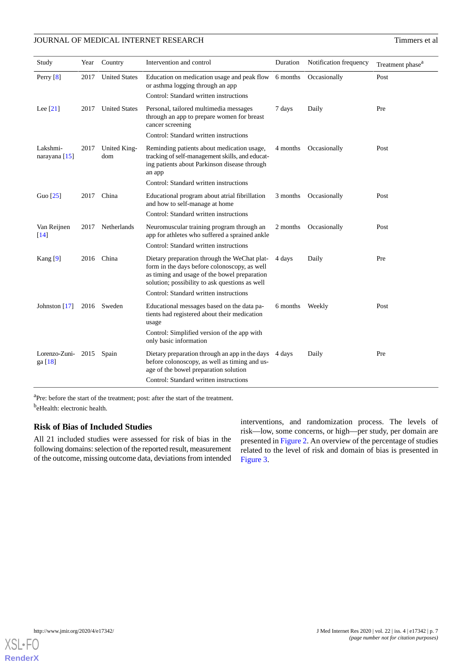## JOURNAL OF MEDICAL INTERNET RESEARCH TIMES EN ACCEPTANCE TERM OF MEDICAL INTERNET RESEARCH

| Study                       | Year | Country              | Intervention and control                                                                                                                                                                          | Duration | Notification frequency | Treatment phase <sup>a</sup> |
|-----------------------------|------|----------------------|---------------------------------------------------------------------------------------------------------------------------------------------------------------------------------------------------|----------|------------------------|------------------------------|
| Perry $[8]$                 | 2017 | <b>United States</b> | Education on medication usage and peak flow 6 months<br>or asthma logging through an app<br>Control: Standard written instructions                                                                |          | Occasionally           | Post                         |
| Lee $[21]$                  | 2017 | <b>United States</b> | Personal, tailored multimedia messages<br>through an app to prepare women for breast<br>cancer screening<br>Control: Standard written instructions                                                | 7 days   | Daily                  | Pre                          |
| Lakshmi-<br>narayana $[15]$ | 2017 | United King-<br>dom  | Reminding patients about medication usage,<br>tracking of self-management skills, and educat-<br>ing patients about Parkinson disease through<br>an app<br>Control: Standard written instructions | 4 months | Occasionally           | Post                         |
| Guo $[25]$                  | 2017 | China                | Educational program about atrial fibrillation<br>and how to self-manage at home<br>Control: Standard written instructions                                                                         | 3 months | Occasionally           | Post                         |
| Van Reijnen<br>[14]         | 2017 | Netherlands          | Neuromuscular training program through an<br>app for athletes who suffered a sprained ankle<br>Control: Standard written instructions                                                             | 2 months | Occasionally           | Post                         |
| Kang $[9]$                  | 2016 | China                | Dietary preparation through the WeChat plat-<br>form in the days before colonoscopy, as well<br>as timing and usage of the bowel preparation<br>solution; possibility to ask questions as well    | 4 days   | Daily                  | Pre                          |
| Johnston $[17]$             |      | 2016 Sweden          | Control: Standard written instructions<br>Educational messages based on the data pa-                                                                                                              | 6 months | Weekly                 | Post                         |
|                             |      |                      | tients had registered about their medication<br>usage<br>Control: Simplified version of the app with<br>only basic information                                                                    |          |                        |                              |
| Lorenzo-Zuni-<br>ga [18]    |      | 2015 Spain           | Dietary preparation through an app in the days<br>before colonoscopy, as well as timing and us-<br>age of the bowel preparation solution                                                          | 4 days   | Daily                  | Pre                          |
|                             |      |                      | Control: Standard written instructions                                                                                                                                                            |          |                        |                              |

<sup>a</sup>Pre: before the start of the treatment; post: after the start of the treatment. <sup>b</sup>eHealth: electronic health.

## **Risk of Bias of Included Studies**

All 21 included studies were assessed for risk of bias in the following domains: selection of the reported result, measurement of the outcome, missing outcome data, deviations from intended interventions, and randomization process. The levels of risk—low, some concerns, or high—per study, per domain are presented in [Figure 2](#page-7-0). An overview of the percentage of studies related to the level of risk and domain of bias is presented in [Figure 3](#page-8-0).

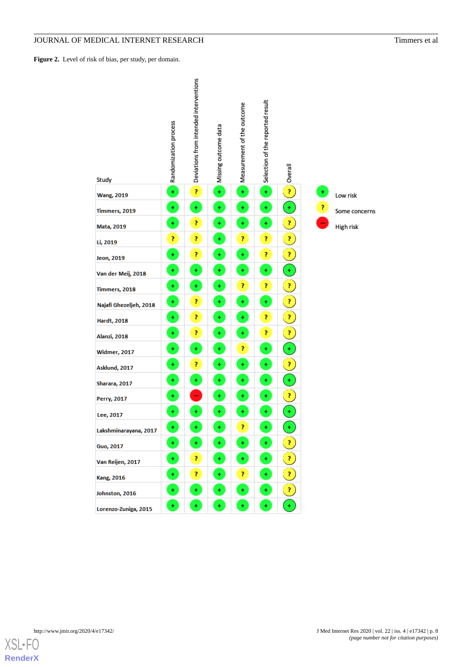## **JOURNAL OF MEDICAL INTERNET RESEARCH** Timmers et al

<span id="page-7-0"></span>Figure 2. Level of risk of bias, per study, per domain.

| Study                  | Randomization process | Deviations from intended interventions | Missing outcome data | Measurement of the outcome | Selection of the reported result | Overall                    |   |               |
|------------------------|-----------------------|----------------------------------------|----------------------|----------------------------|----------------------------------|----------------------------|---|---------------|
| <b>Wang, 2019</b>      | $\ddot{}$             | p                                      | $\pm$                | $\ddot{}$                  | $\ddot{}$                        | $\mathbf{R}$               | ÷ | Low risk      |
| Timmers, 2019          | ¥                     | ÷                                      | ÷                    | $\color{red}+$             | $\pm$                            | $\pm$                      | 7 | Some concerns |
| Mata, 2019             | $\ddot{}$             | p                                      | $\ddot{}$            | $\ddot{}$                  | $\ddot{}$                        | $\boldsymbol{?}$           |   | High risk     |
| Li, 2019               | p                     | Ĩ,                                     | $\ddot{}$            | 7                          | Ĩ,                               | 7                          |   |               |
| Jeon, 2019             | ÷                     | Ż,                                     | Ŧ                    | ÷                          | Ĩ,                               | $\boldsymbol{?}$           |   |               |
| Van der Meij, 2018     | $\ddot{}$             | ¥                                      | $\color{red}+$       | $\ddot{}$                  | $\ddot{}$                        | $\pm$                      |   |               |
| Timmers, 2018          | ÷                     | $\color{red}+$                         | $\color{red}+$       | p                          | P                                | 7                          |   |               |
| Najafi Ghezeljeh, 2018 | $\pm$                 | Ĩ,                                     | $\ddot{}$            | $\ddot{}$                  | ¥                                | 7                          |   |               |
| <b>Hardt, 2018</b>     | ÷                     | Ĩ,                                     | $\ddot{}$            | $\ddot{}$                  | Ŧ,                               | $\boldsymbol{\mathcal{V}}$ |   |               |
| Alanzi, 2018           | ÷                     | ?                                      | $\ddot{}$            | $\ddot{}$                  | Ŧ,                               | $\boldsymbol{?}$           |   |               |
| <b>Widmer, 2017</b>    | $\pm$                 | $\color{red}+$                         | $\ddot{}$            | p                          | $\color{red}+$                   | $\pm$                      |   |               |
| Asklund, 2017          | ¥                     | Ĩ,                                     | ÷                    | ÷                          | $\color{red}+$                   | $\boldsymbol{?}$           |   |               |
| Sharara, 2017          | $\ddot{}$             | ¥                                      | $\ddot{}$            | $\ddot{}$                  | $\ddot{}$                        | $\pm$                      |   |               |
| Perry, 2017            | ÷                     | -                                      | ÷                    | $\ddot{}$                  | ÷                                | $\boldsymbol{?}$           |   |               |
| Lee, 2017              | Ŧ                     | ÷                                      | ÷                    | $\ddot{}$                  | $\color{red}+$                   | $\ddot{}$                  |   |               |
| Lakshminarayana, 2017  | ¥                     | ¥                                      | $\ddot{}$            | Ż                          | $\ddot{}$                        | $\ddot{}$                  |   |               |
| <b>Guo, 2017</b>       | ÷.                    | ÷.                                     | ÷.                   | ÷                          | $\pm$                            | $\mathbf{r}$               |   |               |
| Van Reijen, 2017       | ÷                     | 7.                                     | ÷.                   | $\pm$                      | ÷.                               | Q                          |   |               |
| <b>Kang, 2016</b>      | ۰                     | 7.                                     | ٠                    | 7                          | ٠                                | $\boldsymbol{?}$           |   |               |
| Johnston, 2016         | ٠                     | ٠                                      | ÷                    | ÷                          | ÷                                | $\boldsymbol{?}$           |   |               |
| Lorenzo-Zuniga, 2015   | ÷                     | Ŧ.                                     | ÷                    | ÷                          | ÷                                | ÷                          |   |               |

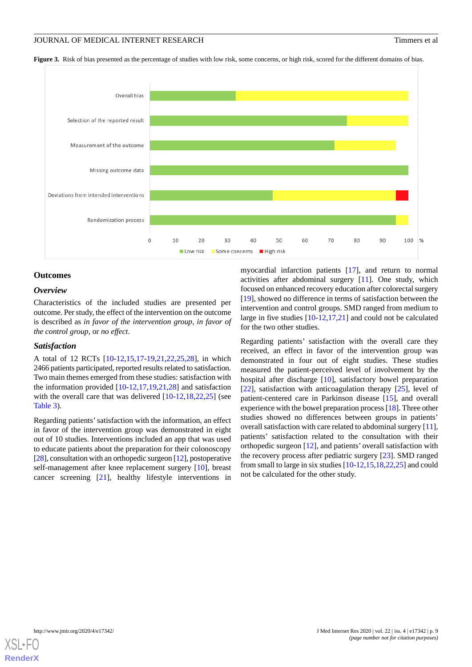<span id="page-8-0"></span>Figure 3. Risk of bias presented as the percentage of studies with low risk, some concerns, or high risk, scored for the different domains of bias.



#### **Outcomes**

## *Overview*

Characteristics of the included studies are presented per outcome. Per study, the effect of the intervention on the outcome is described as *in favor of the intervention group*, *in favor of the control group*, or *no effect*.

#### *Satisfaction*

A total of 12 RCTs [[10-](#page-18-5)[12](#page-18-11)[,15](#page-18-19),[17](#page-18-13)[-19](#page-18-7),[21,](#page-18-8)[22](#page-18-9),[25,](#page-19-2)[28](#page-19-1)], in which 2466 patients participated, reported results related to satisfaction. Two main themes emerged from these studies: satisfaction with the information provided  $[10-12,17,19,21,28]$  $[10-12,17,19,21,28]$  $[10-12,17,19,21,28]$  $[10-12,17,19,21,28]$  $[10-12,17,19,21,28]$  $[10-12,17,19,21,28]$  $[10-12,17,19,21,28]$  $[10-12,17,19,21,28]$  $[10-12,17,19,21,28]$  and satisfaction with the overall care that was delivered  $[10-12,18,22,25]$  $[10-12,18,22,25]$  $[10-12,18,22,25]$  $[10-12,18,22,25]$  $[10-12,18,22,25]$  $[10-12,18,22,25]$  $[10-12,18,22,25]$  $[10-12,18,22,25]$  (see [Table 3\)](#page-9-0).

Regarding patients'satisfaction with the information, an effect in favor of the intervention group was demonstrated in eight out of 10 studies. Interventions included an app that was used to educate patients about the preparation for their colonoscopy [[28\]](#page-19-1), consultation with an orthopedic surgeon [\[12](#page-18-11)], postoperative self-management after knee replacement surgery [\[10](#page-18-5)], breast cancer screening [[21\]](#page-18-8), healthy lifestyle interventions in

myocardial infarction patients [\[17](#page-18-13)], and return to normal activities after abdominal surgery [[11\]](#page-18-15). One study, which focused on enhanced recovery education after colorectal surgery [[19\]](#page-18-7), showed no difference in terms of satisfaction between the intervention and control groups. SMD ranged from medium to large in five studies [\[10](#page-18-5)-[12,](#page-18-11)[17](#page-18-13)[,21](#page-18-8)] and could not be calculated for the two other studies.

Regarding patients' satisfaction with the overall care they received, an effect in favor of the intervention group was demonstrated in four out of eight studies. These studies measured the patient-perceived level of involvement by the hospital after discharge [\[10](#page-18-5)], satisfactory bowel preparation [[22\]](#page-18-9), satisfaction with anticoagulation therapy [\[25](#page-19-2)], level of patient-centered care in Parkinson disease [\[15](#page-18-19)], and overall experience with the bowel preparation process [[18\]](#page-18-6). Three other studies showed no differences between groups in patients' overall satisfaction with care related to abdominal surgery [[11\]](#page-18-15), patients' satisfaction related to the consultation with their orthopedic surgeon [\[12](#page-18-11)], and patients' overall satisfaction with the recovery process after pediatric surgery [[23\]](#page-18-16). SMD ranged from small to large in six studies [\[10](#page-18-5)[-12](#page-18-11),[15,](#page-18-19)[18](#page-18-6),[22,](#page-18-9)[25\]](#page-19-2) and could not be calculated for the other study.

![](_page_8_Picture_12.jpeg)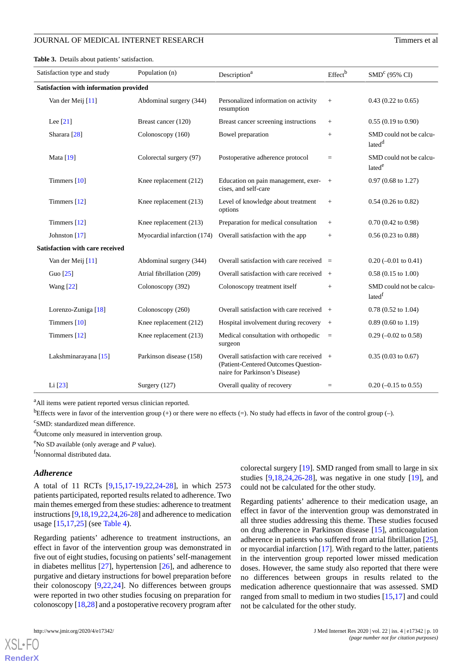<span id="page-9-0"></span>Table 3. Details about patients' satisfaction.

| Satisfaction type and study<br>Population (n) |                             | Description <sup>a</sup>                                                                                              | Effect <sup>b</sup> | SMD <sup>c</sup> (95% CI)                     |
|-----------------------------------------------|-----------------------------|-----------------------------------------------------------------------------------------------------------------------|---------------------|-----------------------------------------------|
| Satisfaction with information provided        |                             |                                                                                                                       |                     |                                               |
| Van der Meij [11]                             | Abdominal surgery (344)     | Personalized information on activity<br>resumption                                                                    | $+$                 | $0.43$ (0.22 to 0.65)                         |
| Lee $[21]$                                    | Breast cancer (120)         | Breast cancer screening instructions                                                                                  | $^{+}$              | $0.55(0.19 \text{ to } 0.90)$                 |
| Sharara <sup>[28]</sup>                       | Colonoscopy (160)           | Bowel preparation                                                                                                     | $+$                 | SMD could not be calcu-<br>lated <sup>d</sup> |
| <b>Mata</b> [19]                              | Colorectal surgery (97)     | Postoperative adherence protocol                                                                                      | $\equiv$            | SMD could not be calcu-<br>lated <sup>e</sup> |
| Timmers [10]                                  | Knee replacement (212)      | Education on pain management, exer-<br>cises, and self-care                                                           | $+$                 | $0.97$ (0.68 to 1.27)                         |
| Timmers [12]                                  | Knee replacement (213)      | Level of knowledge about treatment<br>options                                                                         | $^{+}$              | $0.54$ (0.26 to 0.82)                         |
| Timmers [12]                                  | Knee replacement (213)      | Preparation for medical consultation                                                                                  |                     | $0.70(0.42 \text{ to } 0.98)$                 |
| Johnston [17]                                 | Myocardial infarction (174) | Overall satisfaction with the app                                                                                     | $+$                 | $0.56(0.23 \text{ to } 0.88)$                 |
| <b>Satisfaction with care received</b>        |                             |                                                                                                                       |                     |                                               |
| Van der Meij [11]                             | Abdominal surgery (344)     | Overall satisfaction with care received $=$                                                                           |                     | $0.20$ (-0.01 to 0.41)                        |
| Guo [25]                                      | Atrial fibrillation (209)   | Overall satisfaction with care received $+$                                                                           |                     | $0.58(0.15 \text{ to } 1.00)$                 |
| <b>Wang</b> [22]                              | Colonoscopy (392)           | Colonoscopy treatment itself                                                                                          | $+$                 | SMD could not be calcu-<br>latedf             |
| Lorenzo-Zuniga [18]                           | Colonoscopy (260)           | Overall satisfaction with care received $+$                                                                           |                     | $0.78$ (0.52 to 1.04)                         |
| Timmers [10]                                  | Knee replacement (212)      | Hospital involvement during recovery                                                                                  | $+$                 | $0.89(0.60 \text{ to } 1.19)$                 |
| Timmers [12]                                  | Knee replacement (213)      | Medical consultation with orthopedic<br>surgeon                                                                       | $\equiv$            | $0.29$ (-0.02 to 0.58)                        |
| Lakshminarayana [15]                          | Parkinson disease (158)     | Overall satisfaction with care received $+$<br>(Patient-Centered Outcomes Question-<br>naire for Parkinson's Disease) |                     | $0.35(0.03 \text{ to } 0.67)$                 |
| Li [23]                                       | Surgery (127)               | Overall quality of recovery                                                                                           | $\equiv$            | $0.20$ (-0.15 to 0.55)                        |

<sup>a</sup>All items were patient reported versus clinician reported.

bEffects were in favor of the intervention group (+) or there were no effects (=). No study had effects in favor of the control group (-). <sup>c</sup>SMD: standardized mean difference.

<sup>d</sup>Outcome only measured in intervention group.

<sup>e</sup>No SD available (only average and *P* value).

<sup>f</sup>Nonnormal distributed data.

#### *Adherence*

A total of 11 RCTs [\[9](#page-18-4),[15,](#page-18-19)[17](#page-18-13)[-19](#page-18-7),[22,](#page-18-9)[24-](#page-18-10)[28\]](#page-19-1), in which 2573 patients participated, reported results related to adherence. Two main themes emerged from these studies: adherence to treatment instructions [\[9](#page-18-4)[,18](#page-18-6),[19](#page-18-7)[,22](#page-18-9),[24,](#page-18-10)[26](#page-19-3)[-28](#page-19-1)] and adherence to medication usage [\[15](#page-18-19),[17,](#page-18-13)[25](#page-19-2)] (see [Table 4](#page-10-0)).

Regarding patients' adherence to treatment instructions, an effect in favor of the intervention group was demonstrated in five out of eight studies, focusing on patients'self-management in diabetes mellitus [[27\]](#page-19-0), hypertension [\[26](#page-19-3)], and adherence to purgative and dietary instructions for bowel preparation before their colonoscopy [[9,](#page-18-4)[22](#page-18-9),[24\]](#page-18-10). No differences between groups were reported in two other studies focusing on preparation for colonoscopy [[18](#page-18-6),[28\]](#page-19-1) and a postoperative recovery program after

[XSL](http://www.w3.org/Style/XSL)•FO **[RenderX](http://www.renderx.com/)**

colorectal surgery [[19\]](#page-18-7). SMD ranged from small to large in six studies  $[9,18,24,26-28]$  $[9,18,24,26-28]$  $[9,18,24,26-28]$  $[9,18,24,26-28]$  $[9,18,24,26-28]$  $[9,18,24,26-28]$ , was negative in one study  $[19]$  $[19]$ , and could not be calculated for the other study.

Regarding patients' adherence to their medication usage, an effect in favor of the intervention group was demonstrated in all three studies addressing this theme. These studies focused on drug adherence in Parkinson disease [[15\]](#page-18-19), anticoagulation adherence in patients who suffered from atrial fibrillation [[25\]](#page-19-2), or myocardial infarction [[17\]](#page-18-13). With regard to the latter, patients in the intervention group reported lower missed medication doses. However, the same study also reported that there were no differences between groups in results related to the medication adherence questionnaire that was assessed. SMD ranged from small to medium in two studies [[15,](#page-18-19)[17\]](#page-18-13) and could not be calculated for the other study.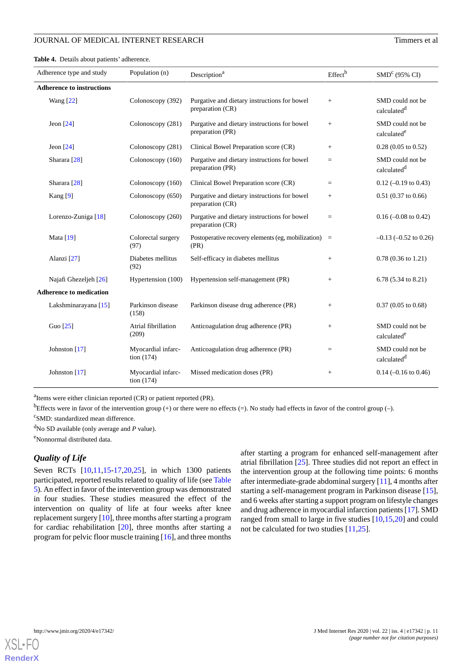### JOURNAL OF MEDICAL INTERNET RESEARCH THE CONSUMING STATES OF A STRINGER STATES OF A STRINGER STATES OF A STRINGER STATES OF A STRINGER STATES OF A STRINGER STATES OF A STRINGER STATES OF A STRINGER STATES OF A STRINGER STA

<span id="page-10-0"></span>**Table 4.** Details about patients' adherence.

| Adherence type and study         | Population (n)                     | Description <sup>a</sup>                                         | Effect <sup>b</sup> | SMD <sup>c</sup> (95% CI)                   |
|----------------------------------|------------------------------------|------------------------------------------------------------------|---------------------|---------------------------------------------|
| <b>Adherence to instructions</b> |                                    |                                                                  |                     |                                             |
| <b>Wang</b> [22]                 | Colonoscopy (392)                  | Purgative and dietary instructions for bowel<br>preparation (CR) | $+$                 | SMD could not be<br>calculated <sup>d</sup> |
| Jeon $[24]$                      | Colonoscopy (281)                  | Purgative and dietary instructions for bowel<br>preparation (PR) | $+$                 | SMD could not be<br>calculated <sup>e</sup> |
| Jeon $[24]$                      | Colonoscopy (281)                  | Clinical Bowel Preparation score (CR)                            | $+$                 | $0.28$ (0.05 to 0.52)                       |
| Sharara $[28]$                   | Colonoscopy (160)                  | Purgative and dietary instructions for bowel<br>preparation (PR) | $=$                 | SMD could not be<br>calculated <sup>d</sup> |
| Sharara $[28]$                   | Colonoscopy (160)                  | Clinical Bowel Preparation score (CR)                            | $=$                 | $0.12$ (-0.19 to 0.43)                      |
| Kang $[9]$                       | Colonoscopy (650)                  | Purgative and dietary instructions for bowel<br>preparation (CR) | $^{+}$              | $0.51$ (0.37 to 0.66)                       |
| Lorenzo-Zuniga [18]              | Colonoscopy (260)                  | Purgative and dietary instructions for bowel<br>preparation (CR) | $\qquad \qquad =$   | $0.16$ (-0.08 to 0.42)                      |
| Mata $[19]$                      | Colorectal surgery<br>(97)         | Postoperative recovery elements (eg, mobilization)<br>(PR)       | $\equiv$            | $-0.13$ $(-0.52$ to 0.26)                   |
| Alanzi [27]                      | Diabetes mellitus<br>(92)          | Self-efficacy in diabetes mellitus                               | $+$                 | $0.78(0.36 \text{ to } 1.21)$               |
| Najafi Ghezeljeh [26]            | Hypertension (100)                 | Hypertension self-management (PR)                                | $+$                 | 6.78 (5.34 to 8.21)                         |
| <b>Adherence to medication</b>   |                                    |                                                                  |                     |                                             |
| Lakshminarayana [15]             | Parkinson disease<br>(158)         | Parkinson disease drug adherence (PR)                            | $+$                 | $0.37(0.05 \text{ to } 0.68)$               |
| Guo $[25]$                       | Atrial fibrillation<br>(209)       | Anticoagulation drug adherence (PR)                              | $^{+}$              | SMD could not be<br>calculated <sup>e</sup> |
| Johnston [17]                    | Myocardial infarc-<br>tion $(174)$ | Anticoagulation drug adherence (PR)                              | $=$                 | SMD could not be<br>calculated <sup>d</sup> |
| Johnston [17]                    | Myocardial infarc-<br>tion $(174)$ | Missed medication doses (PR)                                     | $^{+}$              | $0.14 (-0.16 \text{ to } 0.46)$             |

<sup>a</sup>Items were either clinician reported (CR) or patient reported (PR).

<sup>b</sup>Effects were in favor of the intervention group (+) or there were no effects (=). No study had effects in favor of the control group (-).

<sup>c</sup>SMD: standardized mean difference.

<sup>d</sup>No SD available (only average and *P* value).

<sup>e</sup>Nonnormal distributed data.

## *Quality of Life*

Seven RCTs [\[10](#page-18-5),[11,](#page-18-15)[15](#page-18-19)-[17,](#page-18-13)[20](#page-18-14)[,25](#page-19-2)], in which 1300 patients participated, reported results related to quality of life (see [Table](#page-11-0) [5](#page-11-0)). An effect in favor of the intervention group was demonstrated in four studies. These studies measured the effect of the intervention on quality of life at four weeks after knee replacement surgery [\[10](#page-18-5)], three months after starting a program for cardiac rehabilitation [\[20](#page-18-14)], three months after starting a program for pelvic floor muscle training [\[16](#page-18-17)], and three months

after starting a program for enhanced self-management after atrial fibrillation [\[25](#page-19-2)]. Three studies did not report an effect in the intervention group at the following time points: 6 months after intermediate-grade abdominal surgery [[11\]](#page-18-15), 4 months after starting a self-management program in Parkinson disease [[15\]](#page-18-19), and 6 weeks after starting a support program on lifestyle changes and drug adherence in myocardial infarction patients [[17\]](#page-18-13). SMD ranged from small to large in five studies [[10](#page-18-5)[,15](#page-18-19),[20\]](#page-18-14) and could not be calculated for two studies [\[11](#page-18-15),[25\]](#page-19-2).

![](_page_10_Picture_11.jpeg)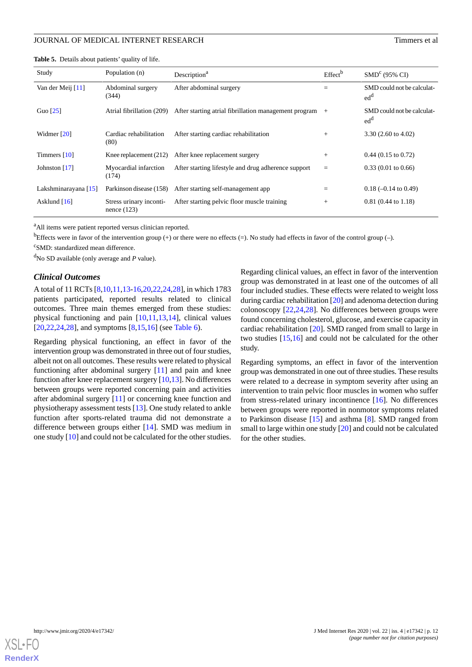| Study                | Population (n)                           | Description <sup>a</sup>                              | Effect <sup>b</sup> | SMD <sup>c</sup> (95% CI)                     |
|----------------------|------------------------------------------|-------------------------------------------------------|---------------------|-----------------------------------------------|
| Van der Meij [11]    | Abdominal surgery<br>(344)               | After abdominal surgery                               | $=$                 | SMD could not be calculat-<br>ed <sup>d</sup> |
| Guo $[25]$           | Atrial fibrillation (209)                | After starting atrial fibrillation management program | $+$                 | SMD could not be calculat-<br>ed <sup>d</sup> |
| Widmer $[20]$        | Cardiac rehabilitation<br>(80)           | After starting cardiac rehabilitation                 | $^{+}$              | 3.30 $(2.60 \text{ to } 4.02)$                |
| Timmers $[10]$       | Knee replacement $(212)$                 | After knee replacement surgery                        | $^{+}$              | $0.44$ (0.15 to 0.72)                         |
| Johnston [17]        | Myocardial infarction<br>(174)           | After starting lifestyle and drug adherence support   | $=$                 | $0.33(0.01)$ to $0.66$ )                      |
| Lakshminarayana [15] | Parkinson disease (158)                  | After starting self-management app                    |                     | $0.18$ (-0.14 to 0.49)                        |
| Asklund $[16]$       | Stress urinary inconti-<br>nence $(123)$ | After starting pelvic floor muscle training           | $^{+}$              | $0.81(0.44 \text{ to } 1.18)$                 |

<span id="page-11-0"></span>**Table 5.** Details about patients' quality of life.

<sup>a</sup>All items were patient reported versus clinician reported.

<sup>b</sup>Effects were in favor of the intervention group (+) or there were no effects (=). No study had effects in favor of the control group (-).

<sup>c</sup>SMD: standardized mean difference.

<sup>d</sup>No SD available (only average and *P* value).

#### *Clinical Outcomes*

A total of 11 RCTs [\[8](#page-18-3),[10,](#page-18-5)[11](#page-18-15)[,13](#page-18-12)-[16](#page-18-17)[,20](#page-18-14),[22](#page-18-9)[,24](#page-18-10),[28\]](#page-19-1), in which 1783 patients participated, reported results related to clinical outcomes. Three main themes emerged from these studies: physical functioning and pain [[10,](#page-18-5)[11](#page-18-15),[13,](#page-18-12)[14](#page-18-18)], clinical values  $[20,22,24,28]$  $[20,22,24,28]$  $[20,22,24,28]$  $[20,22,24,28]$  $[20,22,24,28]$  $[20,22,24,28]$  $[20,22,24,28]$ , and symptoms  $[8,15,16]$  $[8,15,16]$  $[8,15,16]$  $[8,15,16]$  $[8,15,16]$  (see [Table 6\)](#page-12-0).

Regarding physical functioning, an effect in favor of the intervention group was demonstrated in three out of four studies, albeit not on all outcomes. These results were related to physical functioning after abdominal surgery [[11\]](#page-18-15) and pain and knee function after knee replacement surgery [[10,](#page-18-5)[13\]](#page-18-12). No differences between groups were reported concerning pain and activities after abdominal surgery [[11\]](#page-18-15) or concerning knee function and physiotherapy assessment tests [[13\]](#page-18-12). One study related to ankle function after sports-related trauma did not demonstrate a difference between groups either [[14\]](#page-18-18). SMD was medium in one study [[10](#page-18-5)] and could not be calculated for the other studies.

Regarding clinical values, an effect in favor of the intervention group was demonstrated in at least one of the outcomes of all four included studies. These effects were related to weight loss during cardiac rehabilitation [[20\]](#page-18-14) and adenoma detection during colonoscopy [\[22](#page-18-9),[24](#page-18-10)[,28](#page-19-1)]. No differences between groups were found concerning cholesterol, glucose, and exercise capacity in cardiac rehabilitation [\[20](#page-18-14)]. SMD ranged from small to large in two studies [\[15](#page-18-19),[16\]](#page-18-17) and could not be calculated for the other study.

Regarding symptoms, an effect in favor of the intervention group was demonstrated in one out of three studies. These results were related to a decrease in symptom severity after using an intervention to train pelvic floor muscles in women who suffer from stress-related urinary incontinence [\[16](#page-18-17)]. No differences between groups were reported in nonmotor symptoms related to Parkinson disease [[15\]](#page-18-19) and asthma [\[8](#page-18-3)]. SMD ranged from small to large within one study [[20\]](#page-18-14) and could not be calculated for the other studies.

![](_page_11_Picture_13.jpeg)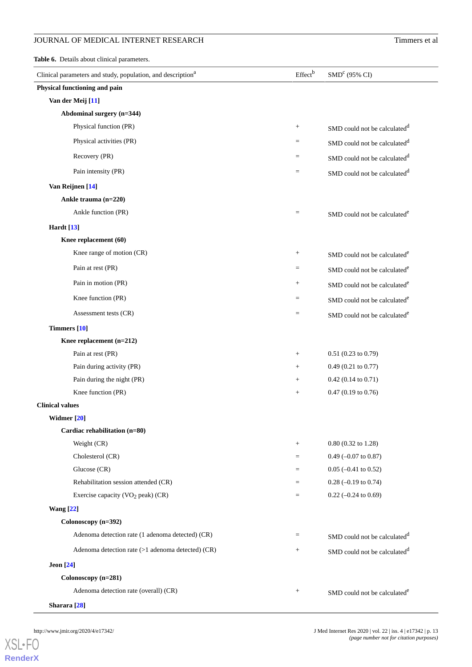## **JOURNAL OF MEDICAL INTERNET RESEARCH** Timmers et al

<span id="page-12-0"></span>**Table 6.** Details about clinical parameters.

| Clinical parameters and study, population, and description <sup>a</sup> | Effect <sup>b</sup> | SMD <sup>c</sup> (95% CI)                |
|-------------------------------------------------------------------------|---------------------|------------------------------------------|
| Physical functioning and pain                                           |                     |                                          |
| Van der Meij [11]                                                       |                     |                                          |
| Abdominal surgery (n=344)                                               |                     |                                          |
| Physical function (PR)                                                  | $\! +$              | SMD could not be calculated <sup>d</sup> |
| Physical activities (PR)                                                | $=$                 | SMD could not be calculated <sup>d</sup> |
| Recovery (PR)                                                           | $=$                 | SMD could not be calculated <sup>d</sup> |
| Pain intensity (PR)                                                     | $=$                 | SMD could not be calculated <sup>d</sup> |
| Van Reijnen [14]                                                        |                     |                                          |
| Ankle trauma (n=220)                                                    |                     |                                          |
| Ankle function (PR)                                                     | $\equiv$            | SMD could not be calculated <sup>e</sup> |
| <b>Hardt</b> [13]                                                       |                     |                                          |
| Knee replacement (60)                                                   |                     |                                          |
| Knee range of motion (CR)                                               | $\! +$              | SMD could not be calculated <sup>e</sup> |
| Pain at rest (PR)                                                       | $\equiv$            | SMD could not be calculated <sup>e</sup> |
| Pain in motion (PR)                                                     | $\! + \!\!\!\!$     | SMD could not be calculated <sup>e</sup> |
| Knee function (PR)                                                      | $=$                 | SMD could not be calculated <sup>e</sup> |
| Assessment tests (CR)                                                   | $=$                 | SMD could not be calculated <sup>e</sup> |
| Timmers [10]                                                            |                     |                                          |
| Knee replacement (n=212)                                                |                     |                                          |
| Pain at rest (PR)                                                       | $^{+}$              | $0.51$ (0.23 to 0.79)                    |
| Pain during activity (PR)                                               | $^{+}$              | $0.49$ (0.21 to 0.77)                    |
| Pain during the night (PR)                                              | $\! + \!\!\!\!$     | $0.42$ (0.14 to 0.71)                    |
| Knee function (PR)                                                      | $\! + \!\!\!\!$     | $0.47$ (0.19 to 0.76)                    |
| <b>Clinical values</b>                                                  |                     |                                          |
| Widmer [20]                                                             |                     |                                          |
| Cardiac rehabilitation (n=80)                                           |                     |                                          |
| Weight (CR)                                                             | $^{+}$              | $0.80(0.32 \text{ to } 1.28)$            |
| Cholesterol (CR)                                                        | $=$                 | $0.49$ (-0.07 to 0.87)                   |
| Glucose $(CR)$                                                          | $=$                 | $0.05$ (-0.41 to 0.52)                   |
| Rehabilitation session attended (CR)                                    | $=$                 | $0.28$ (-0.19 to 0.74)                   |
| Exercise capacity ( $VO2$ peak) (CR)                                    | $\equiv$            | $0.22$ (-0.24 to 0.69)                   |
| <b>Wang</b> [22]                                                        |                     |                                          |
| Colonoscopy (n=392)                                                     |                     |                                          |
| Adenoma detection rate (1 adenoma detected) (CR)                        | $=$                 | SMD could not be calculated <sup>d</sup> |
| Adenoma detection rate $(>1$ adenoma detected) $(CR)$                   | $^{+}$              | SMD could not be calculated <sup>d</sup> |
| <b>Jeon</b> [24]                                                        |                     |                                          |
| Colonoscopy (n=281)                                                     |                     |                                          |
| Adenoma detection rate (overall) (CR)                                   | $^{+}$              | SMD could not be calculated <sup>e</sup> |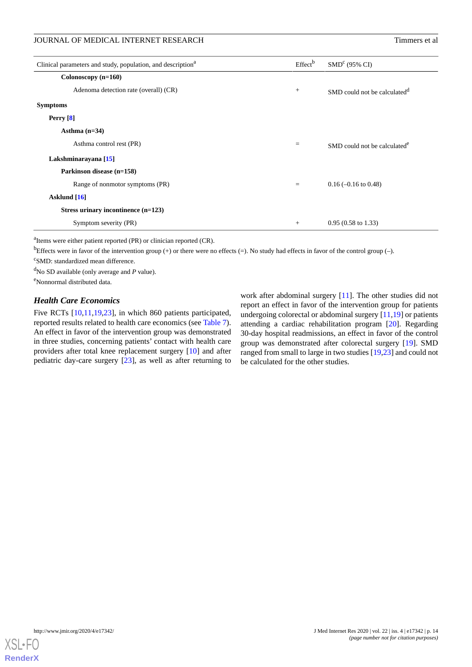JOURNAL OF MEDICAL INTERNET RESEARCH THE CONSUMING STATES OF A STRINGER STATES OF A STRINGER STATES OF A STRINGER STATES OF A STRINGER STATES OF A STRINGER STATES OF A STRINGER STATES OF A STRINGER STATES OF A STRINGER STA

| Clinical parameters and study, population, and description <sup>a</sup> | Effect <sup>b</sup> | SMD <sup>c</sup> (95% CI)                |
|-------------------------------------------------------------------------|---------------------|------------------------------------------|
| Colonoscopy $(n=160)$                                                   |                     |                                          |
| Adenoma detection rate (overall) (CR)                                   | $^{+}$              | SMD could not be calculated <sup>d</sup> |
| <b>Symptoms</b>                                                         |                     |                                          |
| Perry [8]                                                               |                     |                                          |
| Asthma $(n=34)$                                                         |                     |                                          |
| Asthma control rest (PR)                                                | $=$                 | SMD could not be calculated <sup>e</sup> |
| Lakshminarayana [15]                                                    |                     |                                          |
| Parkinson disease (n=158)                                               |                     |                                          |
| Range of nonmotor symptoms (PR)                                         | $=$                 | $0.16$ (-0.16 to 0.48)                   |
| Asklund [16]                                                            |                     |                                          |
| Stress urinary incontinence $(n=123)$                                   |                     |                                          |
| Symptom severity (PR)                                                   | $^{+}$              | $0.95(0.58 \text{ to } 1.33)$            |

<sup>a</sup>Items were either patient reported (PR) or clinician reported (CR).

<sup>b</sup>Effects were in favor of the intervention group (+) or there were no effects (=). No study had effects in favor of the control group (-).

<sup>c</sup>SMD: standardized mean difference.

<sup>d</sup>No SD available (only average and *P* value).

<sup>e</sup>Nonnormal distributed data.

## *Health Care Economics*

Five RCTs [\[10](#page-18-5),[11](#page-18-15)[,19](#page-18-7),[23\]](#page-18-16), in which 860 patients participated, reported results related to health care economics (see [Table 7\)](#page-14-0). An effect in favor of the intervention group was demonstrated in three studies, concerning patients' contact with health care providers after total knee replacement surgery [\[10](#page-18-5)] and after pediatric day-care surgery [\[23](#page-18-16)], as well as after returning to

work after abdominal surgery [[11\]](#page-18-15). The other studies did not report an effect in favor of the intervention group for patients undergoing colorectal or abdominal surgery [\[11](#page-18-15),[19\]](#page-18-7) or patients attending a cardiac rehabilitation program [\[20](#page-18-14)]. Regarding 30-day hospital readmissions, an effect in favor of the control group was demonstrated after colorectal surgery [\[19](#page-18-7)]. SMD ranged from small to large in two studies [[19](#page-18-7)[,23](#page-18-16)] and could not be calculated for the other studies.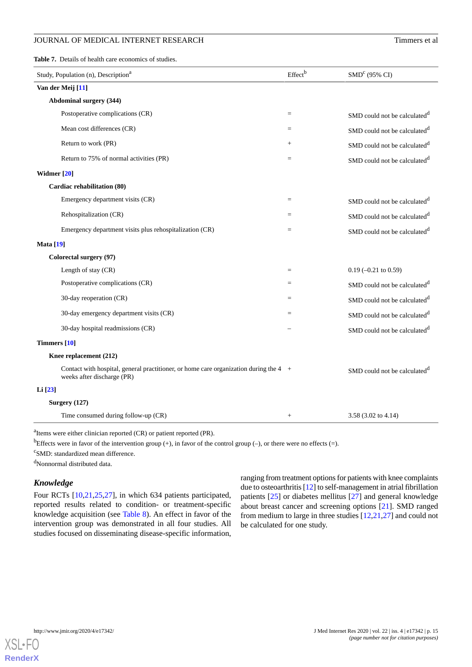## JOURNAL OF MEDICAL INTERNET RESEARCH TIMES EN ACCEPTANCE TERM OF MEDICAL INTERNET RESEARCH

<span id="page-14-0"></span>**Table 7.** Details of health care economics of studies.

| Study, Population (n), Description <sup>a</sup>                                                                     | Effectb | $\text{SMD}^c$ (95% CI)                  |
|---------------------------------------------------------------------------------------------------------------------|---------|------------------------------------------|
| Van der Meij [11]                                                                                                   |         |                                          |
| <b>Abdominal surgery (344)</b>                                                                                      |         |                                          |
| Postoperative complications (CR)                                                                                    | $=$     | SMD could not be calculated <sup>d</sup> |
| Mean cost differences (CR)                                                                                          | $=$     | SMD could not be calculated <sup>d</sup> |
| Return to work (PR)                                                                                                 | $^{+}$  | SMD could not be calculated <sup>d</sup> |
| Return to 75% of normal activities (PR)                                                                             | $=$     | SMD could not be calculated <sup>d</sup> |
| Widmer [20]                                                                                                         |         |                                          |
| Cardiac rehabilitation (80)                                                                                         |         |                                          |
| Emergency department visits (CR)                                                                                    | $=$     | SMD could not be calculated <sup>d</sup> |
| Rehospitalization (CR)                                                                                              | $=$     | SMD could not be calculated <sup>d</sup> |
| Emergency department visits plus rehospitalization (CR)                                                             | $=$     | SMD could not be calculated <sup>d</sup> |
| <b>Mata</b> [19]                                                                                                    |         |                                          |
| Colorectal surgery (97)                                                                                             |         |                                          |
| Length of stay (CR)                                                                                                 | $=$     | $0.19$ (-0.21 to 0.59)                   |
| Postoperative complications (CR)                                                                                    | $=$     | SMD could not be calculated <sup>d</sup> |
| 30-day reoperation (CR)                                                                                             | $=$     | SMD could not be calculated <sup>d</sup> |
| 30-day emergency department visits (CR)                                                                             | $=$     | SMD could not be calculated <sup>d</sup> |
| 30-day hospital readmissions (CR)                                                                                   |         | SMD could not be calculated <sup>d</sup> |
| Timmers [10]                                                                                                        |         |                                          |
| Knee replacement (212)                                                                                              |         |                                          |
| Contact with hospital, general practitioner, or home care organization during the 4 +<br>weeks after discharge (PR) |         | SMD could not be calculated <sup>d</sup> |
| Li [23]                                                                                                             |         |                                          |
| Surgery (127)                                                                                                       |         |                                          |
| Time consumed during follow-up (CR)                                                                                 | $^{+}$  | 3.58 (3.02 to 4.14)                      |

<sup>a</sup>Items were either clinician reported (CR) or patient reported (PR).

bEffects were in favor of the intervention group  $(+)$ , in favor of the control group  $(-)$ , or there were no effects  $(=)$ .

<sup>c</sup>SMD: standardized mean difference.

<sup>d</sup>Nonnormal distributed data.

## *Knowledge*

Four RCTs [\[10](#page-18-5),[21](#page-18-8)[,25](#page-19-2),[27\]](#page-19-0), in which 634 patients participated, reported results related to condition- or treatment-specific knowledge acquisition (see [Table 8\)](#page-15-0). An effect in favor of the intervention group was demonstrated in all four studies. All studies focused on disseminating disease-specific information,

ranging from treatment options for patients with knee complaints due to osteoarthritis [[12](#page-18-11)] to self-management in atrial fibrillation patients [\[25](#page-19-2)] or diabetes mellitus [[27\]](#page-19-0) and general knowledge about breast cancer and screening options [\[21](#page-18-8)]. SMD ranged from medium to large in three studies [\[12](#page-18-11),[21,](#page-18-8)[27](#page-19-0)] and could not be calculated for one study.

![](_page_14_Picture_11.jpeg)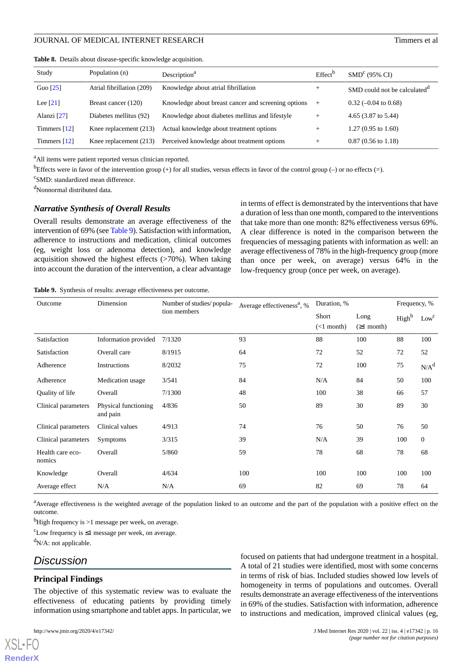| Study          | Population (n)            | Description <sup>a</sup>                            | Effect <sup>b</sup> | SMD <sup>c</sup> (95% CI)                |
|----------------|---------------------------|-----------------------------------------------------|---------------------|------------------------------------------|
| Guo $[25]$     | Atrial fibrillation (209) | Knowledge about atrial fibrillation                 | $^{+}$              | SMD could not be calculated <sup>u</sup> |
| Lee $[21]$     | Breast cancer (120)       | Knowledge about breast cancer and screening options | $^{+}$              | $0.32$ (-0.04 to 0.68)                   |
| Alanzi [27]    | Diabetes mellitus (92)    | Knowledge about diabetes mellitus and lifestyle     | $^{+}$              | 4.65 $(3.87 \text{ to } 5.44)$           |
| Timmers $[12]$ | Knee replacement $(213)$  | Actual knowledge about treatment options            | $^{+}$              | $1.27(0.95 \text{ to } 1.60)$            |
| Timmers $[12]$ | Knee replacement $(213)$  | Perceived knowledge about treatment options         | $^+$                | $0.87(0.56 \text{ to } 1.18)$            |

<span id="page-15-0"></span>**Table 8.** Details about disease-specific knowledge acquisition.

<sup>a</sup>All items were patient reported versus clinician reported.

bEffects were in favor of the intervention group (+) for all studies, versus effects in favor of the control group (-) or no effects (=).

<sup>c</sup>SMD: standardized mean difference.

<sup>d</sup>Nonnormal distributed data.

#### *Narrative Synthesis of Overall Results*

Overall results demonstrate an average effectiveness of the intervention of 69% (see [Table 9\)](#page-15-1). Satisfaction with information, adherence to instructions and medication, clinical outcomes (eg, weight loss or adenoma detection), and knowledge acquisition showed the highest effects (>70%). When taking into account the duration of the intervention, a clear advantage in terms of effect is demonstrated by the interventions that have a duration of less than one month, compared to the interventions that take more than one month: 82% effectiveness versus 69%. A clear difference is noted in the comparison between the frequencies of messaging patients with information as well: an average effectiveness of 78% in the high-frequency group (more than once per week, on average) versus 64% in the low-frequency group (once per week, on average).

<span id="page-15-1"></span>**Table 9.** Synthesis of results: average effectiveness per outcome.

| Outcome                    | Dimension                        | Number of studies/popula- | Average effectiveness <sup>a</sup> , % | Duration, %  | Frequency, % |                   |              |
|----------------------------|----------------------------------|---------------------------|----------------------------------------|--------------|--------------|-------------------|--------------|
|                            |                                  | tion members              |                                        | Short        | Long         | High <sup>b</sup> | $Low^c$      |
|                            |                                  |                           |                                        | $(<1$ month) | (≥1 month)   |                   |              |
| Satisfaction               | Information provided             | 7/1320                    | 93                                     | 88           | 100          | 88                | 100          |
| Satisfaction               | Overall care                     | 8/1915                    | 64                                     | 72           | 52           | 72                | 52           |
| Adherence                  | Instructions                     | 8/2032                    | 75                                     | 72           | 100          | 75                | $N/A^d$      |
| Adherence                  | Medication usage                 | 3/541                     | 84                                     | N/A          | 84           | 50                | 100          |
| Quality of life            | Overall                          | 7/1300                    | 48                                     | 100          | 38           | 66                | 57           |
| Clinical parameters        | Physical functioning<br>and pain | 4/836                     | 50                                     | 89           | 30           | 89                | 30           |
| Clinical parameters        | Clinical values                  | 4/913                     | 74                                     | 76           | 50           | 76                | 50           |
| Clinical parameters        | Symptoms                         | 3/315                     | 39                                     | N/A          | 39           | 100               | $\mathbf{0}$ |
| Health care eco-<br>nomics | Overall                          | 5/860                     | 59                                     | 78           | 68           | 78                | 68           |
| Knowledge                  | Overall                          | 4/634                     | 100                                    | 100          | 100          | 100               | 100          |
| Average effect             | N/A                              | N/A                       | 69                                     | 82           | 69           | 78                | 64           |

<sup>a</sup>Average effectiveness is the weighted average of the population linked to an outcome and the part of the population with a positive effect on the outcome.

<sup>b</sup>High frequency is  $>1$  message per week, on average.

 $c$ Low frequency is  $\leq 1$  message per week, on average.

 $d_{N/A}$ : not applicable.

## *Discussion*

#### **Principal Findings**

The objective of this systematic review was to evaluate the effectiveness of educating patients by providing timely information using smartphone and tablet apps. In particular, we

[XSL](http://www.w3.org/Style/XSL)•FO **[RenderX](http://www.renderx.com/)**

focused on patients that had undergone treatment in a hospital. A total of 21 studies were identified, most with some concerns in terms of risk of bias. Included studies showed low levels of homogeneity in terms of populations and outcomes. Overall results demonstrate an average effectiveness of the interventions in 69% of the studies. Satisfaction with information, adherence to instructions and medication, improved clinical values (eg,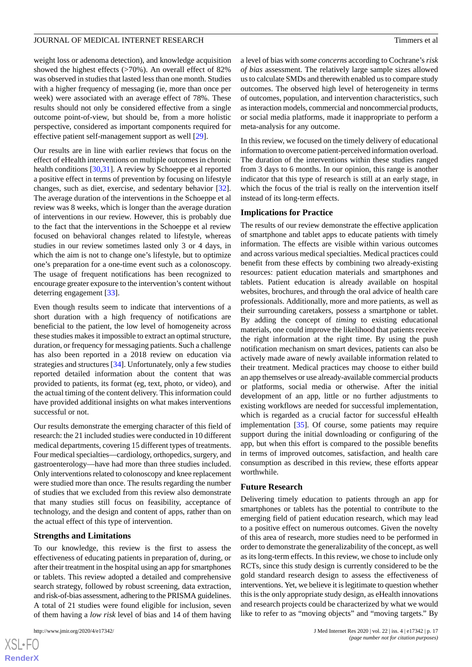weight loss or adenoma detection), and knowledge acquisition showed the highest effects (>70%). An overall effect of 82% was observed in studies that lasted less than one month. Studies with a higher frequency of messaging (ie, more than once per week) were associated with an average effect of 78%. These results should not only be considered effective from a single outcome point-of-view, but should be, from a more holistic perspective, considered as important components required for effective patient self-management support as well [[29\]](#page-19-4).

Our results are in line with earlier reviews that focus on the effect of eHealth interventions on multiple outcomes in chronic health conditions [[30,](#page-19-5)[31](#page-19-6)]. A review by Schoeppe et al reported a positive effect in terms of prevention by focusing on lifestyle changes, such as diet, exercise, and sedentary behavior [[32\]](#page-19-7). The average duration of the interventions in the Schoeppe et al review was 8 weeks, which is longer than the average duration of interventions in our review. However, this is probably due to the fact that the interventions in the Schoeppe et al review focused on behavioral changes related to lifestyle, whereas studies in our review sometimes lasted only 3 or 4 days, in which the aim is not to change one's lifestyle, but to optimize one's preparation for a one-time event such as a colonoscopy. The usage of frequent notifications has been recognized to encourage greater exposure to the intervention's content without deterring engagement [\[33](#page-19-8)].

Even though results seem to indicate that interventions of a short duration with a high frequency of notifications are beneficial to the patient, the low level of homogeneity across these studies makes it impossible to extract an optimal structure, duration, or frequency for messaging patients. Such a challenge has also been reported in a 2018 review on education via strategies and structures [[34\]](#page-19-9). Unfortunately, only a few studies reported detailed information about the content that was provided to patients, its format (eg, text, photo, or video), and the actual timing of the content delivery. This information could have provided additional insights on what makes interventions successful or not.

Our results demonstrate the emerging character of this field of research: the 21 included studies were conducted in 10 different medical departments, covering 15 different types of treatments. Four medical specialties—cardiology, orthopedics, surgery, and gastroenterology—have had more than three studies included. Only interventions related to colonoscopy and knee replacement were studied more than once. The results regarding the number of studies that we excluded from this review also demonstrate that many studies still focus on feasibility, acceptance of technology, and the design and content of apps, rather than on the actual effect of this type of intervention.

## **Strengths and Limitations**

To our knowledge, this review is the first to assess the effectiveness of educating patients in preparation of, during, or after their treatment in the hospital using an app for smartphones or tablets. This review adopted a detailed and comprehensive search strategy, followed by robust screening, data extraction, and risk-of-bias assessment, adhering to the PRISMA guidelines. A total of 21 studies were found eligible for inclusion, seven of them having a *low risk* level of bias and 14 of them having

a level of bias with *some concerns* according to Cochrane's *risk of bias* assessment. The relatively large sample sizes allowed us to calculate SMDs and therewith enabled us to compare study outcomes. The observed high level of heterogeneity in terms of outcomes, population, and intervention characteristics, such as interaction models, commercial and noncommercial products, or social media platforms, made it inappropriate to perform a meta-analysis for any outcome.

In this review, we focused on the timely delivery of educational information to overcome patient-perceived information overload. The duration of the interventions within these studies ranged from 3 days to 6 months. In our opinion, this range is another indicator that this type of research is still at an early stage, in which the focus of the trial is really on the intervention itself instead of its long-term effects.

#### **Implications for Practice**

The results of our review demonstrate the effective application of smartphone and tablet apps to educate patients with timely information. The effects are visible within various outcomes and across various medical specialties. Medical practices could benefit from these effects by combining two already-existing resources: patient education materials and smartphones and tablets. Patient education is already available on hospital websites, brochures, and through the oral advice of health care professionals. Additionally, more and more patients, as well as their surrounding caretakers, possess a smartphone or tablet. By adding the concept of *timing* to existing educational materials, one could improve the likelihood that patients receive the right information at the right time. By using the push notification mechanism on smart devices, patients can also be actively made aware of newly available information related to their treatment. Medical practices may choose to either build an app themselves or use already-available commercial products or platforms, social media or otherwise. After the initial development of an app, little or no further adjustments to existing workflows are needed for successful implementation, which is regarded as a crucial factor for successful eHealth implementation [\[35](#page-19-10)]. Of course, some patients may require support during the initial downloading or configuring of the app, but when this effort is compared to the possible benefits in terms of improved outcomes, satisfaction, and health care consumption as described in this review, these efforts appear worthwhile.

#### **Future Research**

Delivering timely education to patients through an app for smartphones or tablets has the potential to contribute to the emerging field of patient education research, which may lead to a positive effect on numerous outcomes. Given the novelty of this area of research, more studies need to be performed in order to demonstrate the generalizability of the concept, as well as its long-term effects. In this review, we chose to include only RCTs, since this study design is currently considered to be the gold standard research design to assess the effectiveness of interventions. Yet, we believe it is legitimate to question whether this is the only appropriate study design, as eHealth innovations and research projects could be characterized by what we would like to refer to as "moving objects" and "moving targets." By

```
XSL•FO
RenderX
```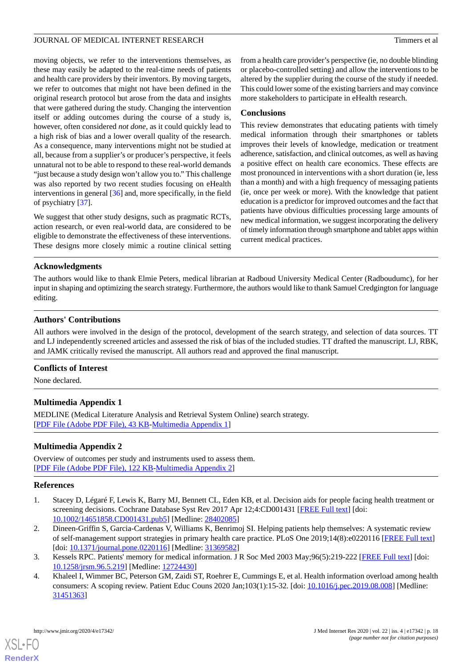moving objects, we refer to the interventions themselves, as these may easily be adapted to the real-time needs of patients and health care providers by their inventors. By moving targets, we refer to outcomes that might not have been defined in the original research protocol but arose from the data and insights that were gathered during the study. Changing the intervention itself or adding outcomes during the course of a study is, however, often considered *not done*, as it could quickly lead to a high risk of bias and a lower overall quality of the research. As a consequence, many interventions might not be studied at all, because from a supplier's or producer's perspective, it feels unnatural not to be able to respond to these real-world demands "just because a study design won't allow you to." This challenge was also reported by two recent studies focusing on eHealth interventions in general [[36\]](#page-19-11) and, more specifically, in the field of psychiatry [[37\]](#page-19-12).

We suggest that other study designs, such as pragmatic RCTs, action research, or even real-world data, are considered to be eligible to demonstrate the effectiveness of these interventions. These designs more closely mimic a routine clinical setting

from a health care provider's perspective (ie, no double blinding or placebo-controlled setting) and allow the interventions to be altered by the supplier during the course of the study if needed. This could lower some of the existing barriers and may convince more stakeholders to participate in eHealth research.

## **Conclusions**

This review demonstrates that educating patients with timely medical information through their smartphones or tablets improves their levels of knowledge, medication or treatment adherence, satisfaction, and clinical outcomes, as well as having a positive effect on health care economics. These effects are most pronounced in interventions with a short duration (ie, less than a month) and with a high frequency of messaging patients (ie, once per week or more). With the knowledge that patient education is a predictor for improved outcomes and the fact that patients have obvious difficulties processing large amounts of new medical information, we suggest incorporating the delivery of timely information through smartphone and tablet apps within current medical practices.

## **Acknowledgments**

The authors would like to thank Elmie Peters, medical librarian at Radboud University Medical Center (Radboudumc), for her input in shaping and optimizing the search strategy. Furthermore, the authors would like to thank Samuel Credgington for language editing.

## **Authors' Contributions**

All authors were involved in the design of the protocol, development of the search strategy, and selection of data sources. TT and LJ independently screened articles and assessed the risk of bias of the included studies. TT drafted the manuscript. LJ, RBK, and JAMK critically revised the manuscript. All authors read and approved the final manuscript.

## <span id="page-17-4"></span>**Conflicts of Interest**

None declared.

## <span id="page-17-5"></span>**Multimedia Appendix 1**

MEDLINE (Medical Literature Analysis and Retrieval System Online) search strategy. [[PDF File \(Adobe PDF File\), 43 KB](https://jmir.org/api/download?alt_name=jmir_v22i4e17342_app1.pdf&filename=7efe441f151c539818e371cd575fb3dd.pdf)-[Multimedia Appendix 1\]](https://jmir.org/api/download?alt_name=jmir_v22i4e17342_app1.pdf&filename=7efe441f151c539818e371cd575fb3dd.pdf)

## <span id="page-17-0"></span>**Multimedia Appendix 2**

Overview of outcomes per study and instruments used to assess them. [[PDF File \(Adobe PDF File\), 122 KB](https://jmir.org/api/download?alt_name=jmir_v22i4e17342_app2.pdf&filename=9440b0f0e45b15f843ae883139da8532.pdf)-[Multimedia Appendix 2\]](https://jmir.org/api/download?alt_name=jmir_v22i4e17342_app2.pdf&filename=9440b0f0e45b15f843ae883139da8532.pdf)

## <span id="page-17-1"></span>**References**

- <span id="page-17-2"></span>1. Stacey D, Légaré F, Lewis K, Barry MJ, Bennett CL, Eden KB, et al. Decision aids for people facing health treatment or screening decisions. Cochrane Database Syst Rev 2017 Apr 12;4:CD001431 [\[FREE Full text\]](http://europepmc.org/abstract/MED/28402085) [doi: [10.1002/14651858.CD001431.pub5\]](http://dx.doi.org/10.1002/14651858.CD001431.pub5) [Medline: [28402085](http://www.ncbi.nlm.nih.gov/entrez/query.fcgi?cmd=Retrieve&db=PubMed&list_uids=28402085&dopt=Abstract)]
- <span id="page-17-3"></span>2. Dineen-Griffin S, Garcia-Cardenas V, Williams K, Benrimoj SI. Helping patients help themselves: A systematic review of self-management support strategies in primary health care practice. PLoS One 2019;14(8):e0220116 [[FREE Full text](http://dx.plos.org/10.1371/journal.pone.0220116)] [doi: [10.1371/journal.pone.0220116\]](http://dx.doi.org/10.1371/journal.pone.0220116) [Medline: [31369582\]](http://www.ncbi.nlm.nih.gov/entrez/query.fcgi?cmd=Retrieve&db=PubMed&list_uids=31369582&dopt=Abstract)
- 3. Kessels RPC. Patients' memory for medical information. J R Soc Med 2003 May;96(5):219-222 [\[FREE Full text\]](http://europepmc.org/abstract/MED/12724430) [doi: [10.1258/jrsm.96.5.219](http://dx.doi.org/10.1258/jrsm.96.5.219)] [Medline: [12724430\]](http://www.ncbi.nlm.nih.gov/entrez/query.fcgi?cmd=Retrieve&db=PubMed&list_uids=12724430&dopt=Abstract)
- 4. Khaleel I, Wimmer BC, Peterson GM, Zaidi ST, Roehrer E, Cummings E, et al. Health information overload among health consumers: A scoping review. Patient Educ Couns 2020 Jan;103(1):15-32. [doi: [10.1016/j.pec.2019.08.008\]](http://dx.doi.org/10.1016/j.pec.2019.08.008) [Medline: [31451363](http://www.ncbi.nlm.nih.gov/entrez/query.fcgi?cmd=Retrieve&db=PubMed&list_uids=31451363&dopt=Abstract)]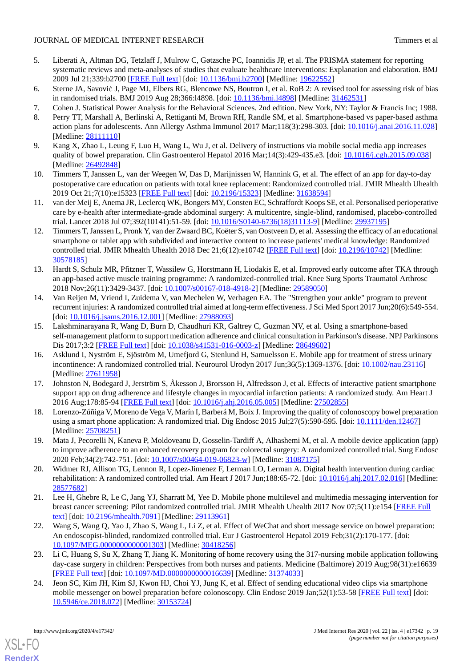## JOURNAL OF MEDICAL INTERNET RESEARCH THE CONSUMING STATES OF A STRINGER STATES OF A STRINGER STATES OF A STRINGER STATES OF A STRINGER STATES OF A STRINGER STATES OF A STRINGER STATES OF A STRINGER STATES OF A STRINGER STA

- <span id="page-18-0"></span>5. Liberati A, Altman DG, Tetzlaff J, Mulrow C, Gøtzsche PC, Ioannidis JP, et al. The PRISMA statement for reporting systematic reviews and meta-analyses of studies that evaluate healthcare interventions: Explanation and elaboration. BMJ 2009 Jul 21;339:b2700 [[FREE Full text](http://europepmc.org/abstract/MED/19622552)] [doi: [10.1136/bmj.b2700\]](http://dx.doi.org/10.1136/bmj.b2700) [Medline: [19622552](http://www.ncbi.nlm.nih.gov/entrez/query.fcgi?cmd=Retrieve&db=PubMed&list_uids=19622552&dopt=Abstract)]
- <span id="page-18-2"></span><span id="page-18-1"></span>6. Sterne JA, Savović J, Page MJ, Elbers RG, Blencowe NS, Boutron I, et al. RoB 2: A revised tool for assessing risk of bias in randomised trials. BMJ 2019 Aug 28;366:14898. [doi: 10.1136/bmj.14898] [Medline: [31462531\]](http://www.ncbi.nlm.nih.gov/entrez/query.fcgi?cmd=Retrieve&db=PubMed&list_uids=31462531&dopt=Abstract)
- <span id="page-18-3"></span>7. Cohen J. Statistical Power Analysis for the Behavioral Sciences. 2nd edition. New York, NY: Taylor & Francis Inc; 1988.
- <span id="page-18-4"></span>8. Perry TT, Marshall A, Berlinski A, Rettiganti M, Brown RH, Randle SM, et al. Smartphone-based vs paper-based asthma action plans for adolescents. Ann Allergy Asthma Immunol 2017 Mar;118(3):298-303. [doi: [10.1016/j.anai.2016.11.028](http://dx.doi.org/10.1016/j.anai.2016.11.028)] [Medline: [28111110](http://www.ncbi.nlm.nih.gov/entrez/query.fcgi?cmd=Retrieve&db=PubMed&list_uids=28111110&dopt=Abstract)]
- <span id="page-18-5"></span>9. Kang X, Zhao L, Leung F, Luo H, Wang L, Wu J, et al. Delivery of instructions via mobile social media app increases quality of bowel preparation. Clin Gastroenterol Hepatol 2016 Mar;14(3):429-435.e3. [doi: [10.1016/j.cgh.2015.09.038](http://dx.doi.org/10.1016/j.cgh.2015.09.038)] [Medline: [26492848](http://www.ncbi.nlm.nih.gov/entrez/query.fcgi?cmd=Retrieve&db=PubMed&list_uids=26492848&dopt=Abstract)]
- <span id="page-18-15"></span>10. Timmers T, Janssen L, van der Weegen W, Das D, Marijnissen W, Hannink G, et al. The effect of an app for day-to-day postoperative care education on patients with total knee replacement: Randomized controlled trial. JMIR Mhealth Uhealth 2019 Oct 21;7(10):e15323 [\[FREE Full text\]](https://mhealth.jmir.org/2019/10/e15323/) [doi: [10.2196/15323](http://dx.doi.org/10.2196/15323)] [Medline: [31638594](http://www.ncbi.nlm.nih.gov/entrez/query.fcgi?cmd=Retrieve&db=PubMed&list_uids=31638594&dopt=Abstract)]
- <span id="page-18-11"></span>11. van der Meij E, Anema JR, Leclercq WK, Bongers MY, Consten EC, Schraffordt Koops SE, et al. Personalised perioperative care by e-health after intermediate-grade abdominal surgery: A multicentre, single-blind, randomised, placebo-controlled trial. Lancet 2018 Jul 07;392(10141):51-59. [doi: [10.1016/S0140-6736\(18\)31113-9](http://dx.doi.org/10.1016/S0140-6736(18)31113-9)] [Medline: [29937195\]](http://www.ncbi.nlm.nih.gov/entrez/query.fcgi?cmd=Retrieve&db=PubMed&list_uids=29937195&dopt=Abstract)
- <span id="page-18-12"></span>12. Timmers T, Janssen L, Pronk Y, van der Zwaard BC, Koëter S, van Oostveen D, et al. Assessing the efficacy of an educational smartphone or tablet app with subdivided and interactive content to increase patients' medical knowledge: Randomized controlled trial. JMIR Mhealth Uhealth 2018 Dec 21;6(12):e10742 [[FREE Full text\]](https://mhealth.jmir.org/2018/12/e10742/) [doi: [10.2196/10742\]](http://dx.doi.org/10.2196/10742) [Medline: [30578185](http://www.ncbi.nlm.nih.gov/entrez/query.fcgi?cmd=Retrieve&db=PubMed&list_uids=30578185&dopt=Abstract)]
- <span id="page-18-18"></span>13. Hardt S, Schulz MR, Pfitzner T, Wassilew G, Horstmann H, Liodakis E, et al. Improved early outcome after TKA through an app-based active muscle training programme: A randomized-controlled trial. Knee Surg Sports Traumatol Arthrosc 2018 Nov;26(11):3429-3437. [doi: [10.1007/s00167-018-4918-2](http://dx.doi.org/10.1007/s00167-018-4918-2)] [Medline: [29589050\]](http://www.ncbi.nlm.nih.gov/entrez/query.fcgi?cmd=Retrieve&db=PubMed&list_uids=29589050&dopt=Abstract)
- <span id="page-18-19"></span>14. Van Reijen M, Vriend I, Zuidema V, van Mechelen W, Verhagen EA. The "Strengthen your ankle" program to prevent recurrent injuries: A randomized controlled trial aimed at long-term effectiveness. J Sci Med Sport 2017 Jun;20(6):549-554. [doi: [10.1016/j.jsams.2016.12.001\]](http://dx.doi.org/10.1016/j.jsams.2016.12.001) [Medline: [27988093\]](http://www.ncbi.nlm.nih.gov/entrez/query.fcgi?cmd=Retrieve&db=PubMed&list_uids=27988093&dopt=Abstract)
- <span id="page-18-17"></span>15. Lakshminarayana R, Wang D, Burn D, Chaudhuri KR, Galtrey C, Guzman NV, et al. Using a smartphone-based self-management platform to support medication adherence and clinical consultation in Parkinson's disease. NPJ Parkinsons Dis 2017;3:2 [\[FREE Full text\]](http://europepmc.org/abstract/MED/28649602) [doi: [10.1038/s41531-016-0003-z\]](http://dx.doi.org/10.1038/s41531-016-0003-z) [Medline: [28649602](http://www.ncbi.nlm.nih.gov/entrez/query.fcgi?cmd=Retrieve&db=PubMed&list_uids=28649602&dopt=Abstract)]
- <span id="page-18-13"></span>16. Asklund I, Nyström E, Sjöström M, Umefjord G, Stenlund H, Samuelsson E. Mobile app for treatment of stress urinary incontinence: A randomized controlled trial. Neurourol Urodyn 2017 Jun;36(5):1369-1376. [doi: [10.1002/nau.23116\]](http://dx.doi.org/10.1002/nau.23116) [Medline: [27611958](http://www.ncbi.nlm.nih.gov/entrez/query.fcgi?cmd=Retrieve&db=PubMed&list_uids=27611958&dopt=Abstract)]
- <span id="page-18-7"></span><span id="page-18-6"></span>17. Johnston N, Bodegard J, Jerström S, Åkesson J, Brorsson H, Alfredsson J, et al. Effects of interactive patient smartphone support app on drug adherence and lifestyle changes in myocardial infarction patients: A randomized study. Am Heart J 2016 Aug;178:85-94 [[FREE Full text](https://linkinghub.elsevier.com/retrieve/pii/S0002-8703(16)30062-X)] [doi: [10.1016/j.ahj.2016.05.005\]](http://dx.doi.org/10.1016/j.ahj.2016.05.005) [Medline: [27502855\]](http://www.ncbi.nlm.nih.gov/entrez/query.fcgi?cmd=Retrieve&db=PubMed&list_uids=27502855&dopt=Abstract)
- <span id="page-18-14"></span>18. Lorenzo-Zúñiga V, Moreno de Vega V, Marín I, Barberá M, Boix J. Improving the quality of colonoscopy bowel preparation using a smart phone application: A randomized trial. Dig Endosc 2015 Jul;27(5):590-595. [doi: [10.1111/den.12467](http://dx.doi.org/10.1111/den.12467)] [Medline: [25708251](http://www.ncbi.nlm.nih.gov/entrez/query.fcgi?cmd=Retrieve&db=PubMed&list_uids=25708251&dopt=Abstract)]
- <span id="page-18-8"></span>19. Mata J, Pecorelli N, Kaneva P, Moldoveanu D, Gosselin-Tardiff A, Alhashemi M, et al. A mobile device application (app) to improve adherence to an enhanced recovery program for colorectal surgery: A randomized controlled trial. Surg Endosc 2020 Feb;34(2):742-751. [doi: [10.1007/s00464-019-06823-w](http://dx.doi.org/10.1007/s00464-019-06823-w)] [Medline: [31087175](http://www.ncbi.nlm.nih.gov/entrez/query.fcgi?cmd=Retrieve&db=PubMed&list_uids=31087175&dopt=Abstract)]
- <span id="page-18-9"></span>20. Widmer RJ, Allison TG, Lennon R, Lopez-Jimenez F, Lerman LO, Lerman A. Digital health intervention during cardiac rehabilitation: A randomized controlled trial. Am Heart J 2017 Jun;188:65-72. [doi: [10.1016/j.ahj.2017.02.016\]](http://dx.doi.org/10.1016/j.ahj.2017.02.016) [Medline: [28577682](http://www.ncbi.nlm.nih.gov/entrez/query.fcgi?cmd=Retrieve&db=PubMed&list_uids=28577682&dopt=Abstract)]
- <span id="page-18-16"></span>21. Lee H, Ghebre R, Le C, Jang YJ, Sharratt M, Yee D. Mobile phone multilevel and multimedia messaging intervention for breast cancer screening: Pilot randomized controlled trial. JMIR Mhealth Uhealth 2017 Nov 07;5(11):e154 [\[FREE Full](https://mhealth.jmir.org/2017/11/e154/) [text](https://mhealth.jmir.org/2017/11/e154/)] [doi: [10.2196/mhealth.7091\]](http://dx.doi.org/10.2196/mhealth.7091) [Medline: [29113961](http://www.ncbi.nlm.nih.gov/entrez/query.fcgi?cmd=Retrieve&db=PubMed&list_uids=29113961&dopt=Abstract)]
- <span id="page-18-10"></span>22. Wang S, Wang Q, Yao J, Zhao S, Wang L, Li Z, et al. Effect of WeChat and short message service on bowel preparation: An endoscopist-blinded, randomized controlled trial. Eur J Gastroenterol Hepatol 2019 Feb;31(2):170-177. [doi: [10.1097/MEG.0000000000001303](http://dx.doi.org/10.1097/MEG.0000000000001303)] [Medline: [30418256](http://www.ncbi.nlm.nih.gov/entrez/query.fcgi?cmd=Retrieve&db=PubMed&list_uids=30418256&dopt=Abstract)]
- 23. Li C, Huang S, Su X, Zhang T, Jiang K. Monitoring of home recovery using the 317-nursing mobile application following day-case surgery in children: Perspectives from both nurses and patients. Medicine (Baltimore) 2019 Aug;98(31):e16639 [[FREE Full text](http://dx.doi.org/10.1097/MD.0000000000016639)] [doi: [10.1097/MD.0000000000016639](http://dx.doi.org/10.1097/MD.0000000000016639)] [Medline: [31374033](http://www.ncbi.nlm.nih.gov/entrez/query.fcgi?cmd=Retrieve&db=PubMed&list_uids=31374033&dopt=Abstract)]
- 24. Jeon SC, Kim JH, Kim SJ, Kwon HJ, Choi YJ, Jung K, et al. Effect of sending educational video clips via smartphone mobile messenger on bowel preparation before colonoscopy. Clin Endosc 2019 Jan;52(1):53-58 [[FREE Full text\]](https://dx.doi.org/10.5946/ce.2018.072) [doi: [10.5946/ce.2018.072\]](http://dx.doi.org/10.5946/ce.2018.072) [Medline: [30153724](http://www.ncbi.nlm.nih.gov/entrez/query.fcgi?cmd=Retrieve&db=PubMed&list_uids=30153724&dopt=Abstract)]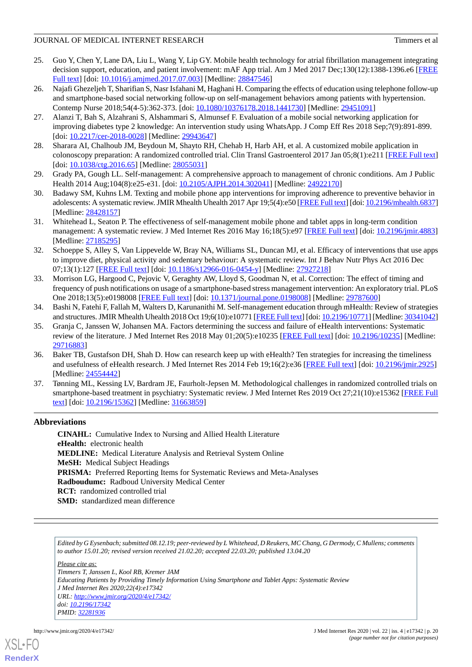- <span id="page-19-2"></span>25. Guo Y, Chen Y, Lane DA, Liu L, Wang Y, Lip GY. Mobile health technology for atrial fibrillation management integrating decision support, education, and patient involvement: mAF App trial. Am J Med 2017 Dec;130(12):1388-1396.e6 [[FREE](https://linkinghub.elsevier.com/retrieve/pii/S0002-9343(17)30712-X) [Full text\]](https://linkinghub.elsevier.com/retrieve/pii/S0002-9343(17)30712-X) [doi: [10.1016/j.amjmed.2017.07.003](http://dx.doi.org/10.1016/j.amjmed.2017.07.003)] [Medline: [28847546](http://www.ncbi.nlm.nih.gov/entrez/query.fcgi?cmd=Retrieve&db=PubMed&list_uids=28847546&dopt=Abstract)]
- <span id="page-19-3"></span>26. Najafi Ghezeljeh T, Sharifian S, Nasr Isfahani M, Haghani H. Comparing the effects of education using telephone follow-up and smartphone-based social networking follow-up on self-management behaviors among patients with hypertension. Contemp Nurse 2018;54(4-5):362-373. [doi: [10.1080/10376178.2018.1441730\]](http://dx.doi.org/10.1080/10376178.2018.1441730) [Medline: [29451091](http://www.ncbi.nlm.nih.gov/entrez/query.fcgi?cmd=Retrieve&db=PubMed&list_uids=29451091&dopt=Abstract)]
- <span id="page-19-1"></span><span id="page-19-0"></span>27. Alanzi T, Bah S, Alzahrani S, Alshammari S, Almunsef F. Evaluation of a mobile social networking application for improving diabetes type 2 knowledge: An intervention study using WhatsApp. J Comp Eff Res 2018 Sep;7(9):891-899. [doi: [10.2217/cer-2018-0028\]](http://dx.doi.org/10.2217/cer-2018-0028) [Medline: [29943647\]](http://www.ncbi.nlm.nih.gov/entrez/query.fcgi?cmd=Retrieve&db=PubMed&list_uids=29943647&dopt=Abstract)
- <span id="page-19-4"></span>28. Sharara AI, Chalhoub JM, Beydoun M, Shayto RH, Chehab H, Harb AH, et al. A customized mobile application in colonoscopy preparation: A randomized controlled trial. Clin Transl Gastroenterol 2017 Jan 05;8(1):e211 [[FREE Full text](http://europepmc.org/abstract/MED/28055031)] [doi: [10.1038/ctg.2016.65](http://dx.doi.org/10.1038/ctg.2016.65)] [Medline: [28055031](http://www.ncbi.nlm.nih.gov/entrez/query.fcgi?cmd=Retrieve&db=PubMed&list_uids=28055031&dopt=Abstract)]
- <span id="page-19-5"></span>29. Grady PA, Gough LL. Self-management: A comprehensive approach to management of chronic conditions. Am J Public Health 2014 Aug;104(8):e25-e31. [doi: [10.2105/AJPH.2014.302041](http://dx.doi.org/10.2105/AJPH.2014.302041)] [Medline: [24922170](http://www.ncbi.nlm.nih.gov/entrez/query.fcgi?cmd=Retrieve&db=PubMed&list_uids=24922170&dopt=Abstract)]
- <span id="page-19-6"></span>30. Badawy SM, Kuhns LM. Texting and mobile phone app interventions for improving adherence to preventive behavior in adolescents: A systematic review. JMIR Mhealth Uhealth 2017 Apr 19;5(4):e50 [\[FREE Full text](https://mhealth.jmir.org/2017/4/e50/)] [doi: [10.2196/mhealth.6837\]](http://dx.doi.org/10.2196/mhealth.6837) [Medline: [28428157](http://www.ncbi.nlm.nih.gov/entrez/query.fcgi?cmd=Retrieve&db=PubMed&list_uids=28428157&dopt=Abstract)]
- <span id="page-19-7"></span>31. Whitehead L, Seaton P. The effectiveness of self-management mobile phone and tablet apps in long-term condition management: A systematic review. J Med Internet Res 2016 May 16;18(5):e97 [[FREE Full text\]](https://www.jmir.org/2016/5/e97/) [doi: [10.2196/jmir.4883](http://dx.doi.org/10.2196/jmir.4883)] [Medline: [27185295](http://www.ncbi.nlm.nih.gov/entrez/query.fcgi?cmd=Retrieve&db=PubMed&list_uids=27185295&dopt=Abstract)]
- <span id="page-19-8"></span>32. Schoeppe S, Alley S, Van Lippevelde W, Bray NA, Williams SL, Duncan MJ, et al. Efficacy of interventions that use apps to improve diet, physical activity and sedentary behaviour: A systematic review. Int J Behav Nutr Phys Act 2016 Dec 07;13(1):127 [[FREE Full text\]](https://ijbnpa.biomedcentral.com/articles/10.1186/s12966-016-0454-y) [doi: [10.1186/s12966-016-0454-y](http://dx.doi.org/10.1186/s12966-016-0454-y)] [Medline: [27927218](http://www.ncbi.nlm.nih.gov/entrez/query.fcgi?cmd=Retrieve&db=PubMed&list_uids=27927218&dopt=Abstract)]
- <span id="page-19-9"></span>33. Morrison LG, Hargood C, Pejovic V, Geraghty AW, Lloyd S, Goodman N, et al. Correction: The effect of timing and frequency of push notifications on usage of a smartphone-based stress management intervention: An exploratory trial. PLoS One 2018;13(5):e0198008 [\[FREE Full text\]](http://dx.plos.org/10.1371/journal.pone.0198008) [doi: [10.1371/journal.pone.0198008\]](http://dx.doi.org/10.1371/journal.pone.0198008) [Medline: [29787600\]](http://www.ncbi.nlm.nih.gov/entrez/query.fcgi?cmd=Retrieve&db=PubMed&list_uids=29787600&dopt=Abstract)
- <span id="page-19-10"></span>34. Bashi N, Fatehi F, Fallah M, Walters D, Karunanithi M. Self-management education through mHealth: Review of strategies and structures. JMIR Mhealth Uhealth 2018 Oct 19;6(10):e10771 [\[FREE Full text\]](https://mhealth.jmir.org/2018/10/e10771/) [doi: [10.2196/10771](http://dx.doi.org/10.2196/10771)] [Medline: [30341042\]](http://www.ncbi.nlm.nih.gov/entrez/query.fcgi?cmd=Retrieve&db=PubMed&list_uids=30341042&dopt=Abstract)
- <span id="page-19-11"></span>35. Granja C, Janssen W, Johansen MA. Factors determining the success and failure of eHealth interventions: Systematic review of the literature. J Med Internet Res 2018 May 01;20(5):e10235 [\[FREE Full text\]](https://www.jmir.org/2018/5/e10235/) [doi: [10.2196/10235](http://dx.doi.org/10.2196/10235)] [Medline: [29716883](http://www.ncbi.nlm.nih.gov/entrez/query.fcgi?cmd=Retrieve&db=PubMed&list_uids=29716883&dopt=Abstract)]
- <span id="page-19-12"></span>36. Baker TB, Gustafson DH, Shah D. How can research keep up with eHealth? Ten strategies for increasing the timeliness and usefulness of eHealth research. J Med Internet Res 2014 Feb 19;16(2):e36 [\[FREE Full text\]](https://www.jmir.org/2014/2/e36/) [doi: [10.2196/jmir.2925\]](http://dx.doi.org/10.2196/jmir.2925) [Medline: [24554442](http://www.ncbi.nlm.nih.gov/entrez/query.fcgi?cmd=Retrieve&db=PubMed&list_uids=24554442&dopt=Abstract)]
- 37. Tønning ML, Kessing LV, Bardram JE, Faurholt-Jepsen M. Methodological challenges in randomized controlled trials on smartphone-based treatment in psychiatry: Systematic review. J Med Internet Res 2019 Oct 27;21(10):e15362 [[FREE Full](https://www.jmir.org/2019/10/e15362/) [text](https://www.jmir.org/2019/10/e15362/)] [doi: [10.2196/15362\]](http://dx.doi.org/10.2196/15362) [Medline: [31663859\]](http://www.ncbi.nlm.nih.gov/entrez/query.fcgi?cmd=Retrieve&db=PubMed&list_uids=31663859&dopt=Abstract)

## **Abbreviations**

**CINAHL:** Cumulative Index to Nursing and Allied Health Literature **eHealth:** electronic health **MEDLINE:** Medical Literature Analysis and Retrieval System Online **MeSH:** Medical Subject Headings PRISMA: Preferred Reporting Items for Systematic Reviews and Meta-Analyses **Radboudumc:** Radboud University Medical Center **RCT:** randomized controlled trial **SMD:** standardized mean difference

*Edited by G Eysenbach; submitted 08.12.19; peer-reviewed by L Whitehead, D Reukers, MC Chang, G Dermody, C Mullens; comments to author 15.01.20; revised version received 21.02.20; accepted 22.03.20; published 13.04.20*

*Please cite as:*

*Timmers T, Janssen L, Kool RB, Kremer JAM Educating Patients by Providing Timely Information Using Smartphone and Tablet Apps: Systematic Review J Med Internet Res 2020;22(4):e17342 URL: <http://www.jmir.org/2020/4/e17342/> doi: [10.2196/17342](http://dx.doi.org/10.2196/17342) PMID: [32281936](http://www.ncbi.nlm.nih.gov/entrez/query.fcgi?cmd=Retrieve&db=PubMed&list_uids=32281936&dopt=Abstract)*

![](_page_19_Picture_20.jpeg)